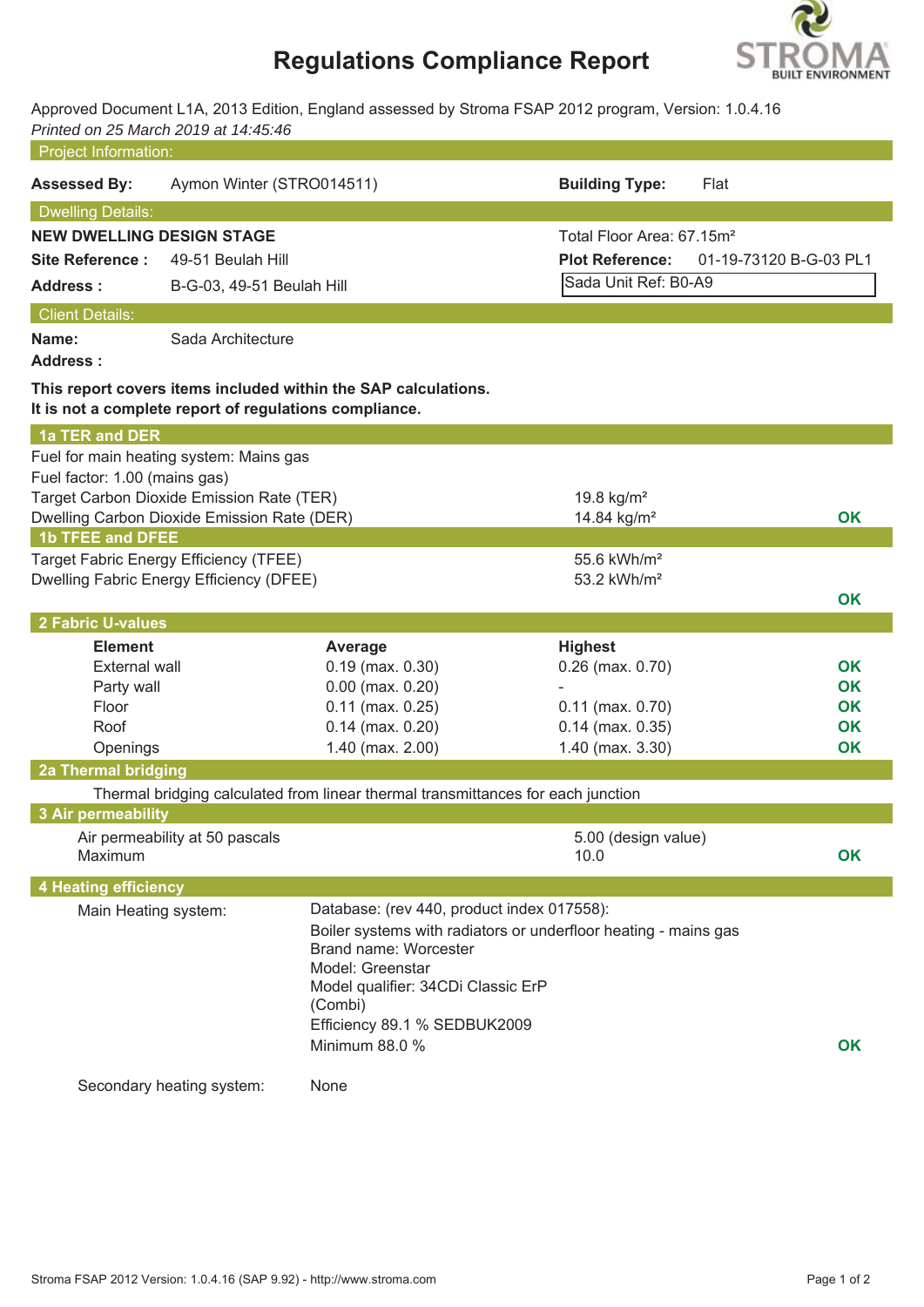# **Regulations Compliance Report**



Approved Document L1A, 2013 Edition, England assessed by Stroma FSAP 2012 program, Version: 1.0.4.16 *Printed on 25 March 2019 at 14:45:46*

| <b>Project Information:</b>      |                                                                                          |                                                                                                                                                                                            |                                                                 |                        |
|----------------------------------|------------------------------------------------------------------------------------------|--------------------------------------------------------------------------------------------------------------------------------------------------------------------------------------------|-----------------------------------------------------------------|------------------------|
| <b>Assessed By:</b>              | Aymon Winter (STRO014511)                                                                |                                                                                                                                                                                            | <b>Building Type:</b>                                           | Flat                   |
| <b>Dwelling Details:</b>         |                                                                                          |                                                                                                                                                                                            |                                                                 |                        |
| <b>NEW DWELLING DESIGN STAGE</b> |                                                                                          |                                                                                                                                                                                            | Total Floor Area: 67.15m <sup>2</sup>                           |                        |
| <b>Site Reference:</b>           | 49-51 Beulah Hill                                                                        |                                                                                                                                                                                            | <b>Plot Reference:</b>                                          | 01-19-73120 B-G-03 PL1 |
| <b>Address:</b>                  | B-G-03, 49-51 Beulah Hill                                                                |                                                                                                                                                                                            | Sada Unit Ref: B0-A9                                            |                        |
| <b>Client Details:</b>           |                                                                                          |                                                                                                                                                                                            |                                                                 |                        |
| Name:<br><b>Address:</b>         | Sada Architecture                                                                        |                                                                                                                                                                                            |                                                                 |                        |
|                                  | It is not a complete report of regulations compliance.                                   | This report covers items included within the SAP calculations.                                                                                                                             |                                                                 |                        |
| 1a TER and DER                   |                                                                                          |                                                                                                                                                                                            |                                                                 |                        |
|                                  | Fuel for main heating system: Mains gas                                                  |                                                                                                                                                                                            |                                                                 |                        |
| Fuel factor: 1.00 (mains gas)    |                                                                                          |                                                                                                                                                                                            |                                                                 |                        |
|                                  | Target Carbon Dioxide Emission Rate (TER)<br>Dwelling Carbon Dioxide Emission Rate (DER) |                                                                                                                                                                                            | 19.8 $kg/m2$<br>14.84 kg/m <sup>2</sup>                         | <b>OK</b>              |
| <b>1b TFEE and DFEE</b>          |                                                                                          |                                                                                                                                                                                            |                                                                 |                        |
|                                  | Target Fabric Energy Efficiency (TFEE)                                                   |                                                                                                                                                                                            | 55.6 kWh/m <sup>2</sup>                                         |                        |
|                                  | Dwelling Fabric Energy Efficiency (DFEE)                                                 |                                                                                                                                                                                            | 53.2 kWh/m <sup>2</sup>                                         |                        |
|                                  |                                                                                          |                                                                                                                                                                                            |                                                                 | <b>OK</b>              |
| 2 Fabric U-values                |                                                                                          |                                                                                                                                                                                            |                                                                 |                        |
| <b>Element</b>                   |                                                                                          | Average                                                                                                                                                                                    | <b>Highest</b>                                                  |                        |
| <b>External wall</b>             |                                                                                          | $0.19$ (max. $0.30$ )                                                                                                                                                                      | $0.26$ (max. $0.70$ )                                           | <b>OK</b>              |
| Party wall                       |                                                                                          | $0.00$ (max. $0.20$ )                                                                                                                                                                      |                                                                 | OK<br>OK               |
| Floor<br>Roof                    |                                                                                          | $0.11$ (max. $0.25$ )<br>$0.14$ (max. $0.20$ )                                                                                                                                             | $0.11$ (max. $0.70$ )<br>$0.14$ (max. $0.35$ )                  | <b>OK</b>              |
| Openings                         |                                                                                          | $1.40$ (max. $2.00$ )                                                                                                                                                                      | 1.40 (max. 3.30)                                                | OK                     |
| 2a Thermal bridging              |                                                                                          |                                                                                                                                                                                            |                                                                 |                        |
|                                  |                                                                                          | Thermal bridging calculated from linear thermal transmittances for each junction                                                                                                           |                                                                 |                        |
| 3 Air permeability               |                                                                                          |                                                                                                                                                                                            |                                                                 |                        |
| Maximum                          | Air permeability at 50 pascals                                                           |                                                                                                                                                                                            | 5.00 (design value)<br>10.0                                     | OK                     |
| <b>4 Heating efficiency</b>      |                                                                                          |                                                                                                                                                                                            |                                                                 |                        |
| Main Heating system:             |                                                                                          | Database: (rev 440, product index 017558):<br>Brand name: Worcester<br>Model: Greenstar<br>Model qualifier: 34CDi Classic ErP<br>(Combi)<br>Efficiency 89.1 % SEDBUK2009<br>Minimum 88.0 % | Boiler systems with radiators or underfloor heating - mains gas | OK                     |
|                                  | Secondary heating system:                                                                | None                                                                                                                                                                                       |                                                                 |                        |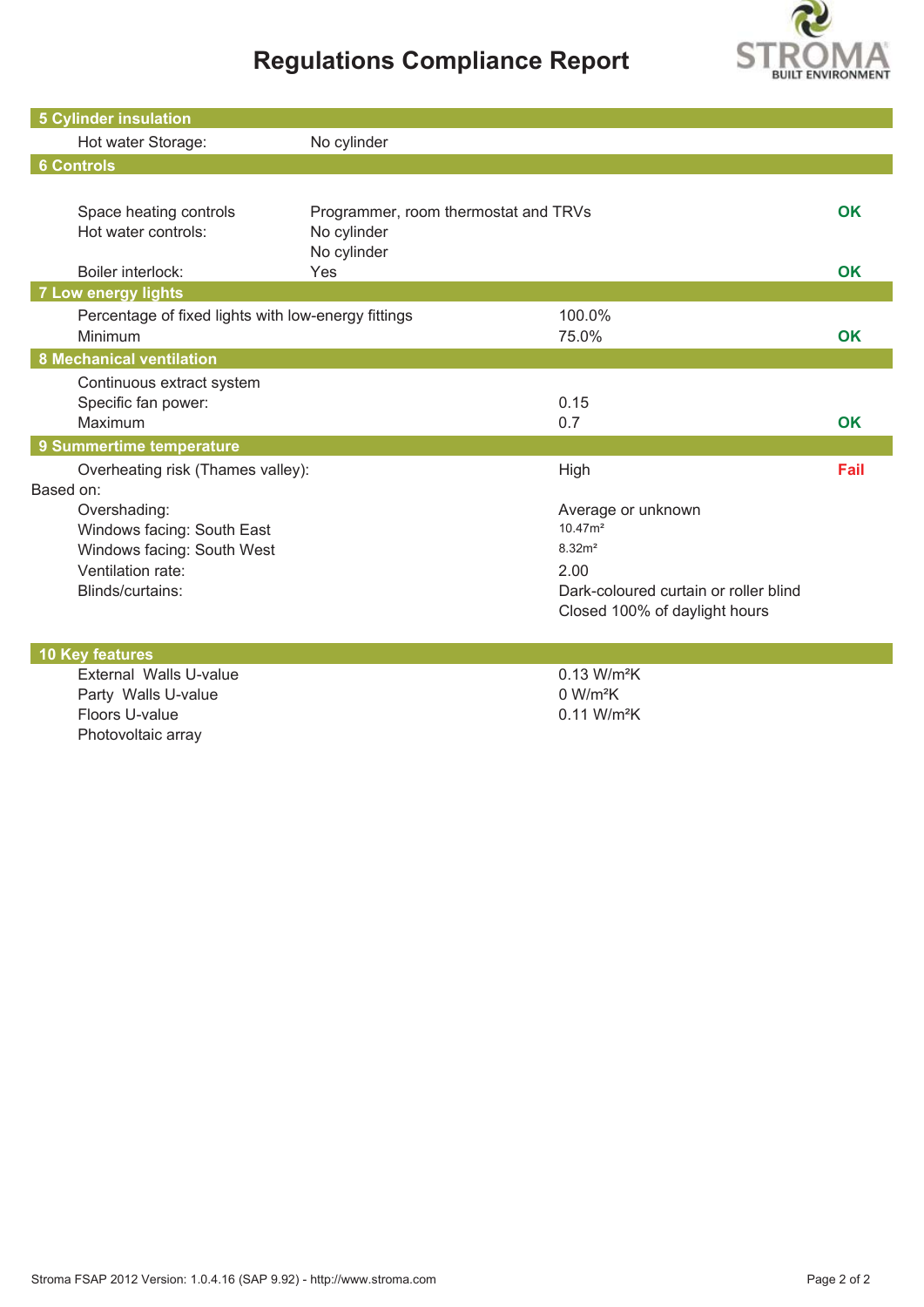# **Regulations Compliance Report**



| <b>5 Cylinder insulation</b>                                                                                      |                                                                    |                                                                                                                                                 |           |
|-------------------------------------------------------------------------------------------------------------------|--------------------------------------------------------------------|-------------------------------------------------------------------------------------------------------------------------------------------------|-----------|
| Hot water Storage:                                                                                                | No cylinder                                                        |                                                                                                                                                 |           |
| <b>6 Controls</b>                                                                                                 |                                                                    |                                                                                                                                                 |           |
|                                                                                                                   |                                                                    |                                                                                                                                                 |           |
| Space heating controls<br>Hot water controls:                                                                     | Programmer, room thermostat and TRVs<br>No cylinder<br>No cylinder |                                                                                                                                                 | <b>OK</b> |
| Boiler interlock:                                                                                                 | Yes                                                                |                                                                                                                                                 | OK        |
| <b>7 Low energy lights</b>                                                                                        |                                                                    |                                                                                                                                                 |           |
| Percentage of fixed lights with low-energy fittings<br>Minimum                                                    |                                                                    | 100.0%<br>75.0%                                                                                                                                 | <b>OK</b> |
| <b>8 Mechanical ventilation</b>                                                                                   |                                                                    |                                                                                                                                                 |           |
| Continuous extract system<br>Specific fan power:<br>Maximum                                                       |                                                                    | 0.15<br>0.7                                                                                                                                     | <b>OK</b> |
| 9 Summertime temperature                                                                                          |                                                                    |                                                                                                                                                 |           |
| Overheating risk (Thames valley):<br>Based on:                                                                    |                                                                    | High                                                                                                                                            | Fail      |
| Overshading:<br>Windows facing: South East<br>Windows facing: South West<br>Ventilation rate:<br>Blinds/curtains: |                                                                    | Average or unknown<br>10.47 <sup>2</sup><br>8.32 <sup>2</sup><br>2.00<br>Dark-coloured curtain or roller blind<br>Closed 100% of daylight hours |           |
| <b>10 Key features</b>                                                                                            |                                                                    |                                                                                                                                                 |           |
| External Walls U-value<br>Party Walls U-value                                                                     |                                                                    | 0.13 W/m <sup>2</sup> K<br>0 W/m <sup>2</sup> K                                                                                                 |           |

Floors U-value 0.11 W/m<sup>2</sup>K

Photovoltaic array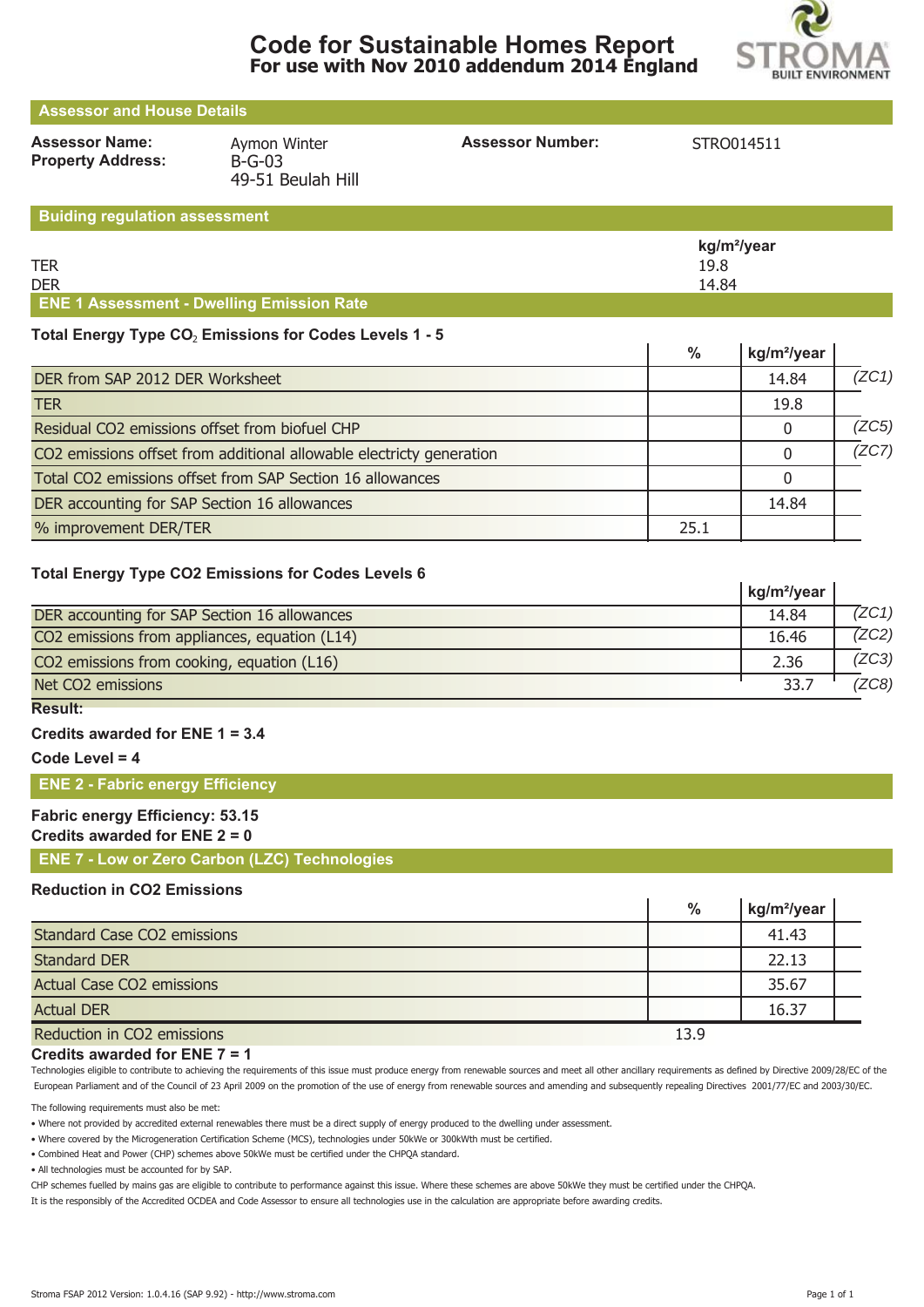

 $\mathbf{I}$ 

| <b>Assessor and House Details</b>                 |                                               |                         |                                                             |  |  |  |  |  |
|---------------------------------------------------|-----------------------------------------------|-------------------------|-------------------------------------------------------------|--|--|--|--|--|
| <b>Assessor Name:</b><br><b>Property Address:</b> | Aymon Winter<br>$B-G-03$<br>49-51 Beulah Hill | <b>Assessor Number:</b> | STRO014511                                                  |  |  |  |  |  |
| <b>Buiding regulation assessment</b>              |                                               |                         |                                                             |  |  |  |  |  |
|                                                   |                                               |                         | $\blacksquare$ $\blacksquare$ $\blacksquare$ $\blacksquare$ |  |  |  |  |  |

|                                                  | kg/m <sup>2</sup> /year |
|--------------------------------------------------|-------------------------|
| <b>TER</b>                                       | 19.8                    |
| <b>DER</b>                                       | 14.84                   |
| <b>ENE 1 Assessment - Dwelling Emission Rate</b> |                         |

## Total Energy Type CO<sub>2</sub> Emissions for Codes Levels 1 - 5

|                                                                      | %    | kg/m <sup>2</sup> /year |       |
|----------------------------------------------------------------------|------|-------------------------|-------|
| DER from SAP 2012 DER Worksheet                                      |      | 14.84                   | (ZC1) |
| <b>TER</b>                                                           |      | 19.8                    |       |
| Residual CO2 emissions offset from biofuel CHP                       |      |                         | (ZC5) |
| CO2 emissions offset from additional allowable electricty generation |      |                         | (ZC7) |
| Total CO2 emissions offset from SAP Section 16 allowances            |      |                         |       |
| DER accounting for SAP Section 16 allowances                         |      | 14.84                   |       |
| % improvement DER/TER                                                | 25.1 |                         |       |

## **Total Energy Type CO2 Emissions for Codes Levels 6**

|                                               | kg/m <sup>2</sup> /year |       |
|-----------------------------------------------|-------------------------|-------|
| DER accounting for SAP Section 16 allowances  | 14.84                   | 7ZC1) |
| CO2 emissions from appliances, equation (L14) | 16.46                   | 7ZC2) |
| CO2 emissions from cooking, equation (L16)    | 2.36                    | (ZC3) |
| Net CO2 emissions                             | 33.7                    | (ZC8) |

## **Result:**

## **Credits awarded for ENE 1 = 3.4**

**Code Level = 4**

## **ENE 2 - Fabric energy Efficiency**

## **Fabric energy Efficiency: 53.15**

## **Credits awarded for ENE 2 = 0**

**ENE 7 - Low or Zero Carbon (LZC) Technologies**

## **Reduction in CO2 Emissions**

|                                    | $\frac{0}{0}$ | kg/m <sup>2</sup> /year |  |
|------------------------------------|---------------|-------------------------|--|
| <b>Standard Case CO2 emissions</b> |               | 41.43                   |  |
| <b>Standard DER</b>                |               | 22.13                   |  |
| <b>Actual Case CO2 emissions</b>   |               | 35.67                   |  |
| <b>Actual DER</b>                  |               | 16.37                   |  |
| Reduction in CO2 emissions         | 13.9          |                         |  |

### **Credits awarded for ENE 7 = 1**

Technologies eligible to contribute to achieving the requirements of this issue must produce energy from renewable sources and meet all other ancillary requirements as defined by Directive 2009/28/EC of the European Parliament and of the Council of 23 April 2009 on the promotion of the use of energy from renewable sources and amending and subsequently repealing Directives 2001/77/EC and 2003/30/EC.

The following requirements must also be met:

• Where not provided by accredited external renewables there must be a direct supply of energy produced to the dwelling under assessment.

• Where covered by the Microgeneration Certification Scheme (MCS), technologies under 50kWe or 300kWth must be certified.

• Combined Heat and Power (CHP) schemes above 50kWe must be certified under the CHPQA standard.

• All technologies must be accounted for by SAP.

CHP schemes fuelled by mains gas are eligible to contribute to performance against this issue. Where these schemes are above 50kWe they must be certified under the CHPQA.

It is the responsibly of the Accredited OCDEA and Code Assessor to ensure all technologies use in the calculation are appropriate before awarding credits.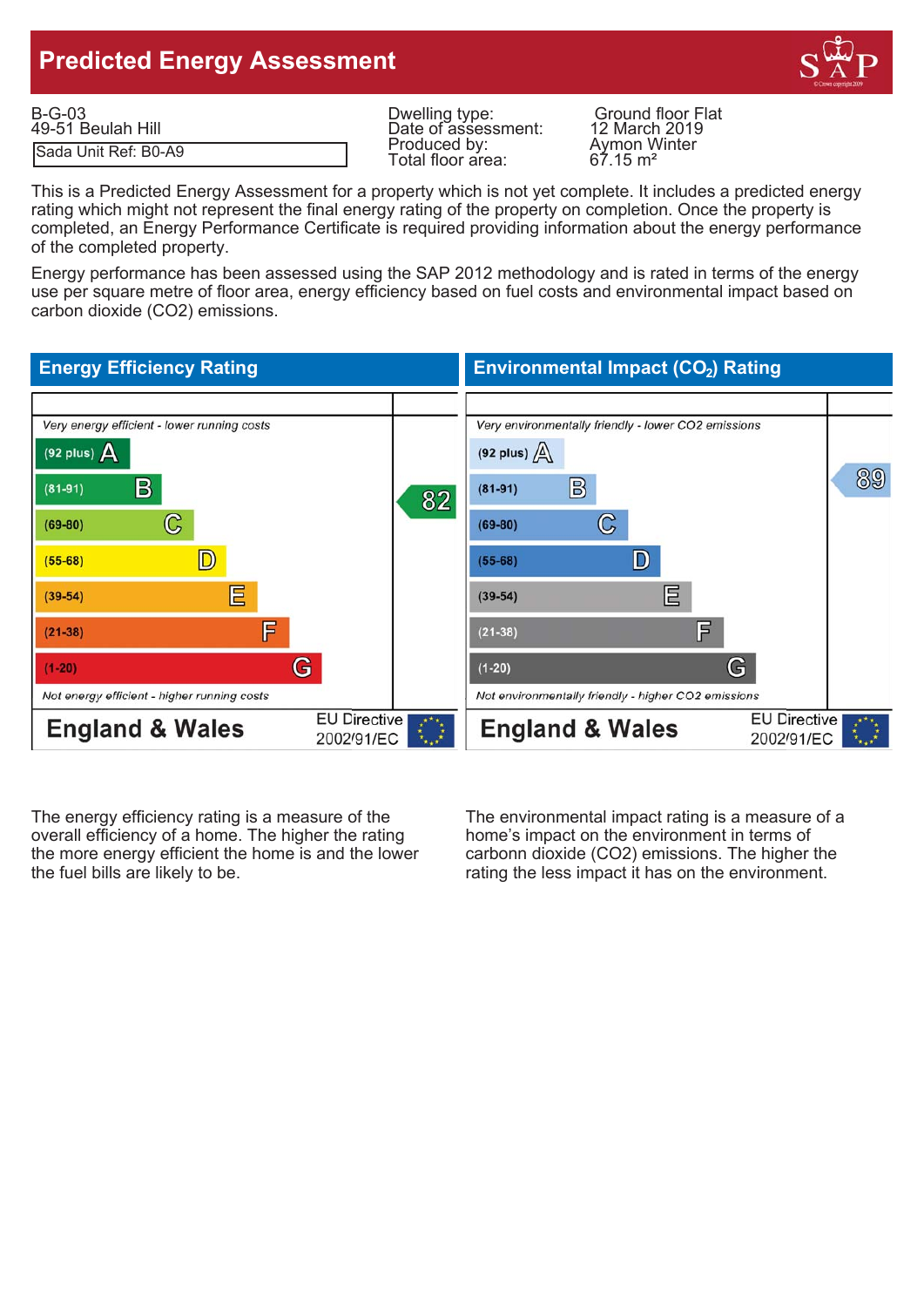# **Predicted Energy Assessment**



| $B-G-03$             | Dwelling type:      | <b>Ground floor Flat</b> |
|----------------------|---------------------|--------------------------|
| 49-51 Beulah Hill    | Date of assessment: | 12 March 2019            |
| Sada Unit Ref: B0-A9 | Produced by:        | Aymon Winter             |
|                      | Total floor area:   | $67.15 \text{ m}^2$      |

Produced by:<br>
Total floor area: 67.15 m<sup>2</sup> Total floor area:

This is a Predicted Energy Assessment for a property which is not yet complete. It includes a predicted energy rating which might not represent the final energy rating of the property on completion. Once the property is completed, an Energy Performance Certificate is required providing information about the energy performance of the completed property.

Energy performance has been assessed using the SAP 2012 methodology and is rated in terms of the energy use per square metre of floor area, energy efficiency based on fuel costs and environmental impact based on carbon dioxide (CO2) emissions.

#### **Energy Efficiency Rating Environmental Impact (CO<sub>2</sub>) Rating** Very energy efficient - lower running costs Very environmentally friendly - lower CO2 emissions (92 plus)  $\Delta$ (92 plus)  $\sqrt{\Delta}$ 89  $\mathbf{B}$  $\mathbb{B}$  $(81 - 91)$  $(81-91)$ 82  $\mathbb{C}$  $\mathbb{C}$  $(69-80)$  $(69-80)$ D) D  $(55-68)$  $(55-68)$ 巨 巨  $(39-54)$  $(39-54)$ F 肎  $(21 - 38)$  $(21 - 38)$ G G  $(1-20)$  $(1-20)$ Not energy efficient - higher running costs Not environmentally friendly - higher CO2 emissions **EU Directive EU Directive England & Wales England & Wales** 2002/91/EC 2002/91/EC

The energy efficiency rating is a measure of the The environmental impact rating is a measure of a overall efficiency of a home. The higher the rating home's impact on the environment in terms of the more energy efficient the home is and the lower carbonn dioxide (CO2) emissions. The higher the the fuel bills are likely to be. The rating the less impact it has on the environment.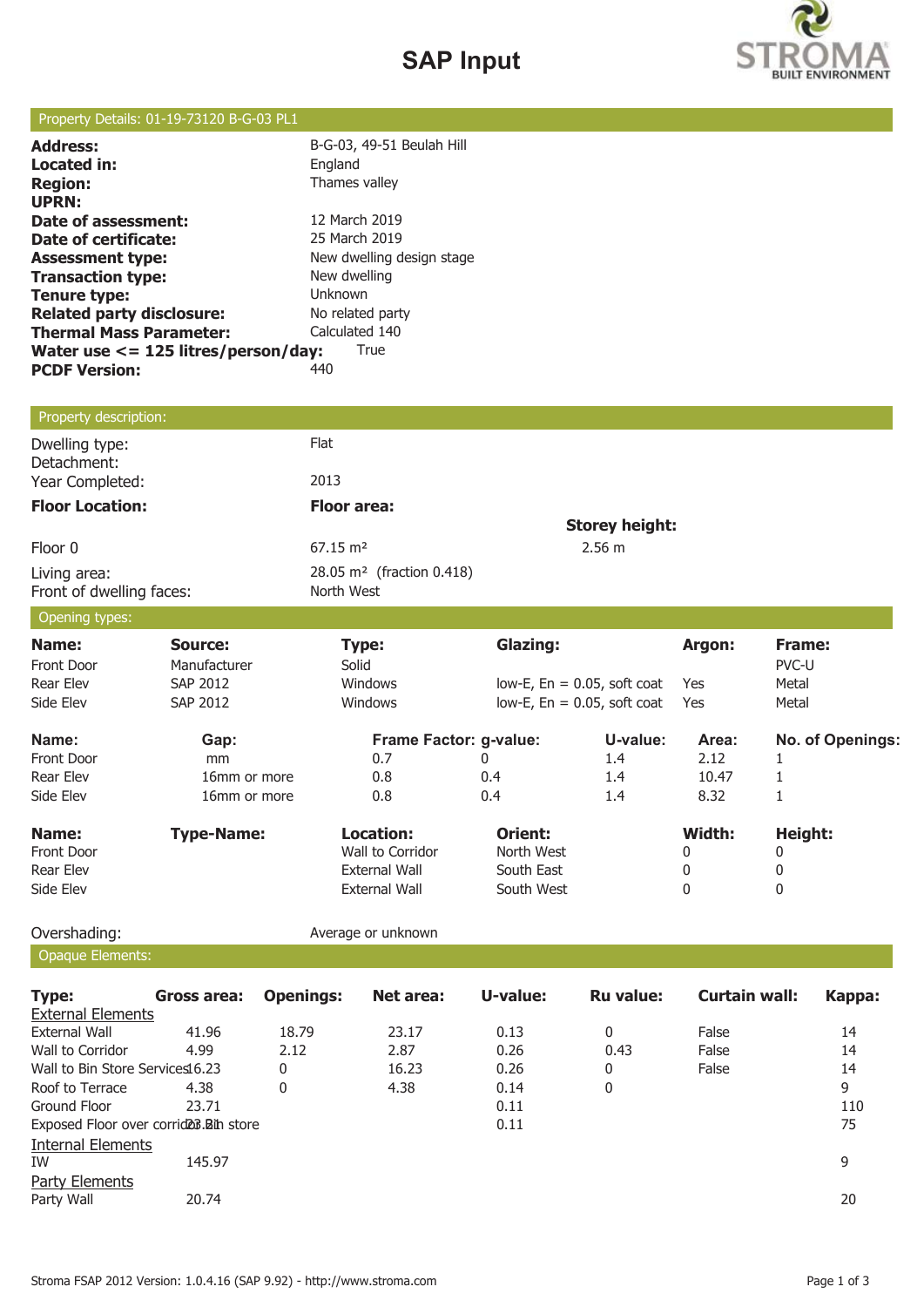# **SAP Input**



## Property Details: 01-19-73120 B-G-03 PL1

| <b>Address:</b>                          | B-G-03, 49-51 Beulah Hill |
|------------------------------------------|---------------------------|
| Located in:                              | England                   |
| <b>Region:</b>                           | Thames valley             |
| <b>UPRN:</b>                             |                           |
| Date of assessment:                      | 12 March 2019             |
| Date of certificate:                     | 25 March 2019             |
| <b>Assessment type:</b>                  | New dwelling design stage |
| <b>Transaction type:</b>                 | New dwelling              |
| <b>Tenure type:</b>                      | Unknown                   |
| <b>Related party disclosure:</b>         | No related party          |
| <b>Thermal Mass Parameter:</b>           | Calculated 140            |
| Water use $\lt$ = 125 litres/person/day: | True                      |
| <b>PCDF Version:</b>                     | 440                       |
|                                          |                           |

## Property description:

| Dwelling type:<br>Detachment:            | Flat                                                |                       |
|------------------------------------------|-----------------------------------------------------|-----------------------|
| Year Completed:                          | 2013                                                |                       |
| <b>Floor Location:</b>                   | <b>Floor area:</b>                                  |                       |
|                                          |                                                     | <b>Storey height:</b> |
| Floor 0                                  | $67.15 \text{ m}^2$                                 | 2.56 m                |
| Living area:<br>Front of dwelling faces: | 28.05 m <sup>2</sup> (fraction 0.418)<br>North West |                       |

## Opening types:

| - 75              |                   |                               |                 |                                   |            |                  |
|-------------------|-------------------|-------------------------------|-----------------|-----------------------------------|------------|------------------|
| Name:             | Source:           | Type:                         | <b>Glazing:</b> |                                   | Argon:     | Frame:           |
| Front Door        | Manufacturer      | Solid                         |                 |                                   |            | PVC-U            |
| <b>Rear Elev</b>  | SAP 2012          | <b>Windows</b>                |                 | $low-E$ , $En = 0.05$ , soft coat | <b>Yes</b> | Metal            |
| Side Elev         | SAP 2012          | <b>Windows</b>                |                 | low-E, $En = 0.05$ , soft coat    | Yes        | Metal            |
| Name:             | Gap:              | <b>Frame Factor: g-value:</b> |                 | U-value:                          | Area:      | No. of Openings: |
| <b>Front Door</b> | mm                | 0.7                           | 0               | 1.4                               | 2.12       |                  |
| <b>Rear Elev</b>  | 16mm or more      | 0.8                           | 0.4             | 1.4                               | 10.47      |                  |
| Side Elev         | 16mm or more      | 0.8                           | 0.4             | 1.4                               | 8.32       |                  |
| Name:             | <b>Type-Name:</b> | Location:                     | Orient:         |                                   | Width:     | Height:          |
| <b>Front Door</b> |                   | Wall to Corridor              | North West      |                                   | 0          | 0                |
| Rear Elev         |                   | External Wall                 | South East      |                                   | 0          | 0                |
| Side Elev         |                   | <b>External Wall</b>          | South West      |                                   | 0          | 0                |

Opaque Elements:

Overshading: and a verage or unknown

| <b>Type:</b>                                         | Gross area: | <b>Openings:</b> | Net area: | U-value: | <b>Ru value:</b> | Curtain wall: | Kappa: |
|------------------------------------------------------|-------------|------------------|-----------|----------|------------------|---------------|--------|
| <b>External Elements</b>                             |             |                  |           |          |                  |               |        |
| External Wall                                        | 41.96       | 18.79            | 23.17     | 0.13     | 0                | False         | 14     |
| Wall to Corridor                                     | 4.99        | 2.12             | 2.87      | 0.26     | 0.43             | False         | 14     |
| Wall to Bin Store Services16.23                      |             | 0                | 16.23     | 0.26     | 0                | False         | 14     |
| Roof to Terrace                                      | 4.38        | 0                | 4.38      | 0.14     | 0                |               | 9      |
| Ground Floor                                         | 23.71       |                  |           | 0.11     |                  |               | 110    |
| Exposed Floor over corrid <sub>20</sub> 3. Bin store |             |                  |           | 0.11     |                  |               | 75     |
| <b>Internal Elements</b>                             |             |                  |           |          |                  |               |        |
| IW                                                   | 145.97      |                  |           |          |                  |               | 9      |
| Party Elements                                       |             |                  |           |          |                  |               |        |
| Party Wall                                           | 20.74       |                  |           |          |                  |               | 20     |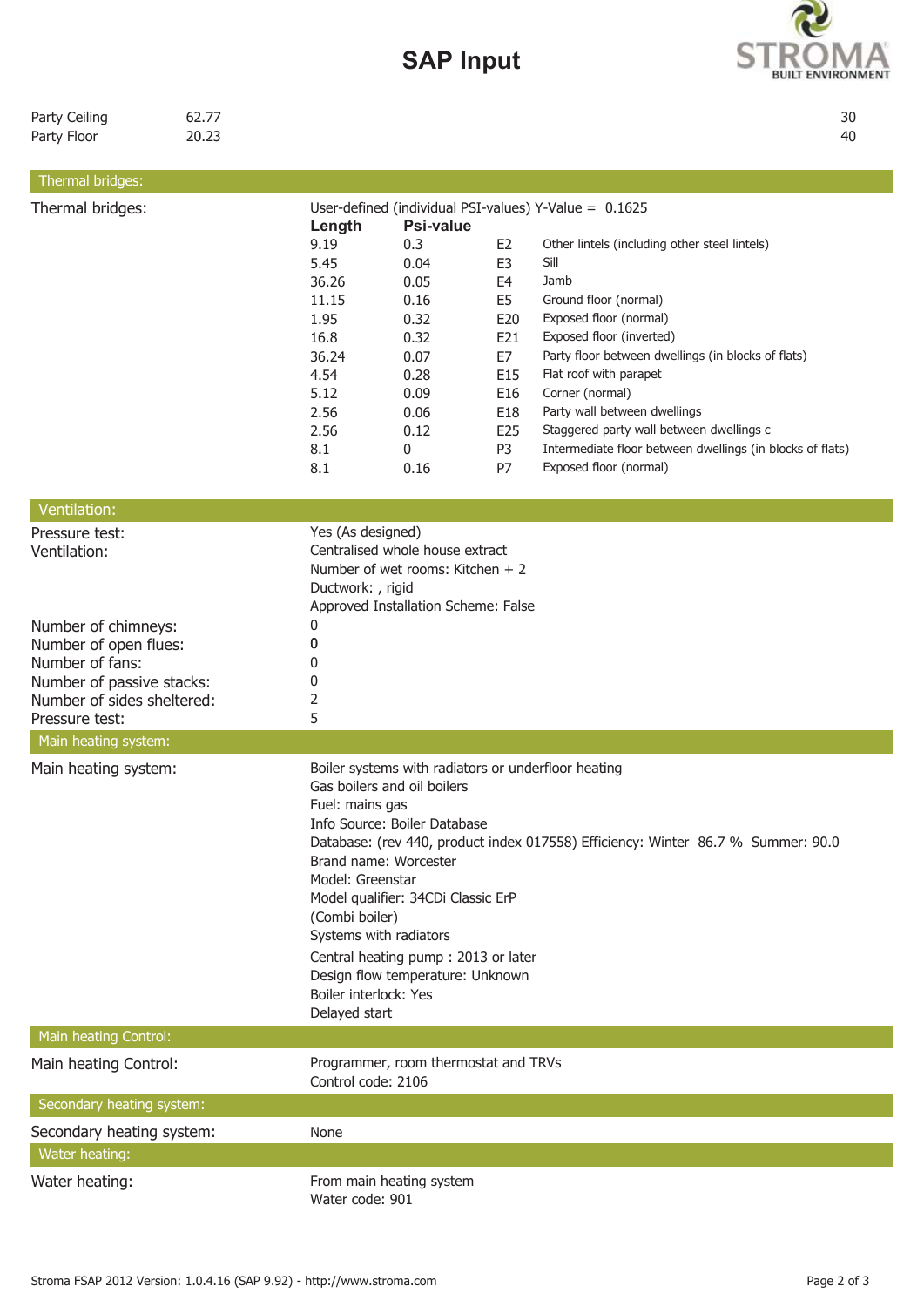9.19 **0.3** E2 Other lintels (including other steel lintels)

Thermal bridges: User-defined (individual PSI-values) Y-Value = 0.1625

**Length Psi-value**



| Party Ceiling | 62.77 | 30 |
|---------------|-------|----|
| Party Floor   | 20.23 | 40 |

Thermal bridges:

|                                              | 5.45<br>36.26<br>11.15<br>1.95<br>16.8<br>36.24<br>4.54<br>5.12<br>2.56<br>2.56<br>8.1<br>8.1   | 0.04<br>0.05<br>0.16<br>0.32<br>0.32<br>0.07<br>0.28<br>0.09<br>0.06<br>0.12<br>0<br>0.16                                                                                                                                       | E3<br>E <sub>4</sub><br>E <sub>5</sub><br>E20<br>E21<br>E7<br>E15<br>E16<br>E18<br>E25<br>P <sub>3</sub><br>P7 | Sill<br>Jamb<br>Ground floor (normal)<br>Exposed floor (normal)<br>Exposed floor (inverted)<br>Party floor between dwellings (in blocks of flats)<br>Flat roof with parapet<br>Corner (normal)<br>Party wall between dwellings<br>Staggered party wall between dwellings c<br>Intermediate floor between dwellings (in blocks of flats)<br>Exposed floor (normal) |
|----------------------------------------------|-------------------------------------------------------------------------------------------------|---------------------------------------------------------------------------------------------------------------------------------------------------------------------------------------------------------------------------------|----------------------------------------------------------------------------------------------------------------|-------------------------------------------------------------------------------------------------------------------------------------------------------------------------------------------------------------------------------------------------------------------------------------------------------------------------------------------------------------------|
| Ventilation:                                 |                                                                                                 |                                                                                                                                                                                                                                 |                                                                                                                |                                                                                                                                                                                                                                                                                                                                                                   |
| Pressure test:<br>Ventilation:               | Yes (As designed)<br>Ductwork: , rigid                                                          | Centralised whole house extract<br>Number of wet rooms: Kitchen $+2$<br>Approved Installation Scheme: False                                                                                                                     |                                                                                                                |                                                                                                                                                                                                                                                                                                                                                                   |
| Number of chimneys:<br>Number of open flues: | 0<br>0                                                                                          |                                                                                                                                                                                                                                 |                                                                                                                |                                                                                                                                                                                                                                                                                                                                                                   |
| Number of fans:                              | 0                                                                                               |                                                                                                                                                                                                                                 |                                                                                                                |                                                                                                                                                                                                                                                                                                                                                                   |
| Number of passive stacks:                    | 0                                                                                               |                                                                                                                                                                                                                                 |                                                                                                                |                                                                                                                                                                                                                                                                                                                                                                   |
| Number of sides sheltered:<br>Pressure test: | $\overline{2}$<br>5                                                                             |                                                                                                                                                                                                                                 |                                                                                                                |                                                                                                                                                                                                                                                                                                                                                                   |
| Main heating system:                         |                                                                                                 |                                                                                                                                                                                                                                 |                                                                                                                |                                                                                                                                                                                                                                                                                                                                                                   |
| Main heating system:                         | Fuel: mains gas<br>Model: Greenstar<br>(Combi boiler)<br>Boiler interlock: Yes<br>Delayed start | Gas boilers and oil boilers<br>Info Source: Boiler Database<br>Brand name: Worcester<br>Model qualifier: 34CDi Classic ErP<br>Systems with radiators<br>Central heating pump: 2013 or later<br>Design flow temperature: Unknown |                                                                                                                | Boiler systems with radiators or underfloor heating<br>Database: (rev 440, product index 017558) Efficiency: Winter 86.7 % Summer: 90.0                                                                                                                                                                                                                           |
| Main heating Control:                        |                                                                                                 |                                                                                                                                                                                                                                 |                                                                                                                |                                                                                                                                                                                                                                                                                                                                                                   |
| Main heating Control:                        | Control code: 2106                                                                              | Programmer, room thermostat and TRVs                                                                                                                                                                                            |                                                                                                                |                                                                                                                                                                                                                                                                                                                                                                   |
| Secondary heating system:                    |                                                                                                 |                                                                                                                                                                                                                                 |                                                                                                                |                                                                                                                                                                                                                                                                                                                                                                   |
| Secondary heating system:                    | None                                                                                            |                                                                                                                                                                                                                                 |                                                                                                                |                                                                                                                                                                                                                                                                                                                                                                   |

Water heating:

Water heating: From main heating system Water code: 901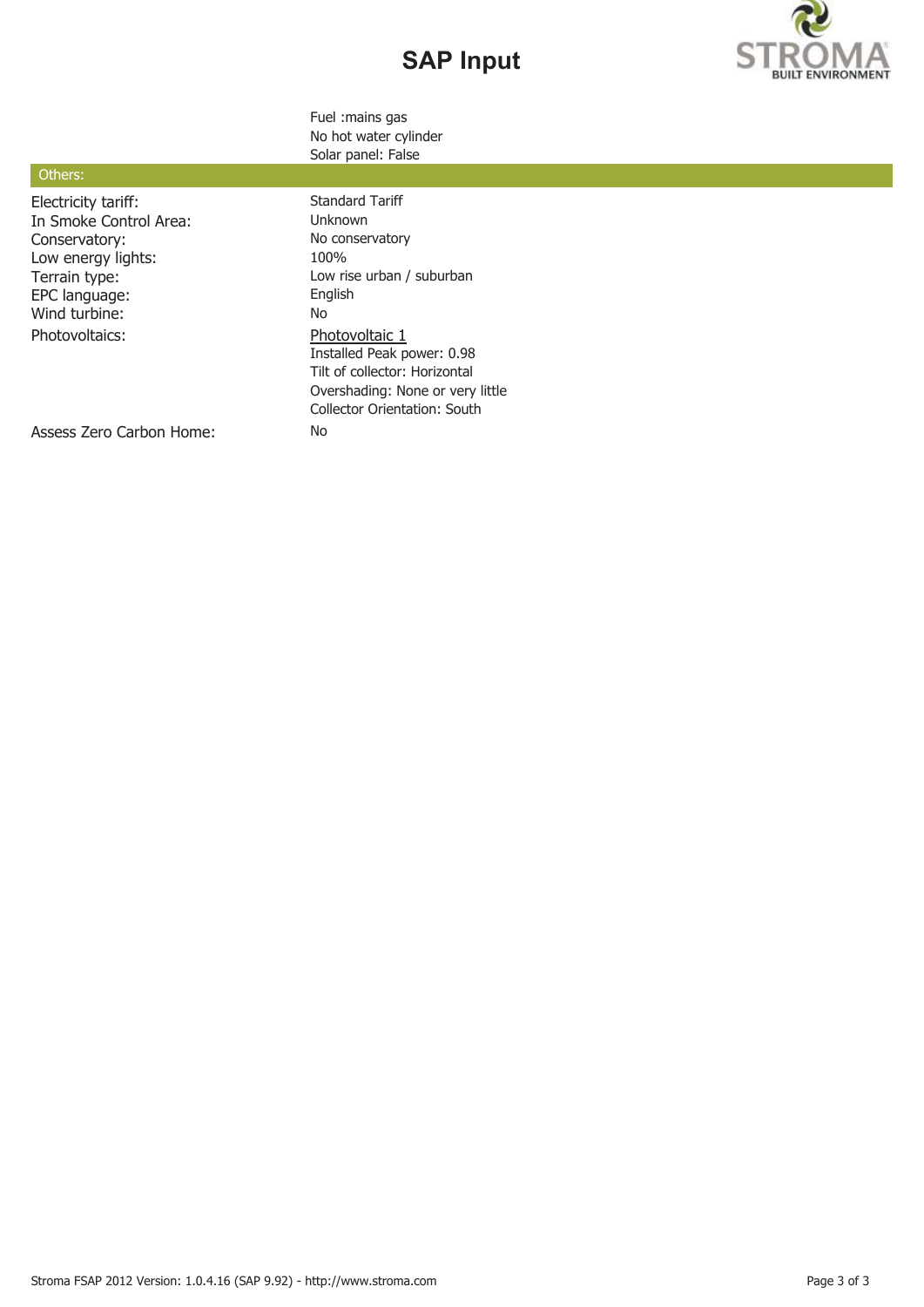# **SAP Input**



Fuel :mains gas No hot water cylinder Solar panel: False

## Others:

Electricity tariff: Standard Tariff In Smoke Control Area: Unknown Conservatory: No conservatory: Low energy lights: 100% EPC language: Englished Englished Englished Englished Englished Englished Englished Englished Englished English<br>Note that the Englished Englished Englished Englished Englished Englished Englished Englished Englished Englis Wind turbine: Photovoltaics: Photovoltaic 1

Terrain type: Low rise urban / suburban EPC language: Low rise urban / suburban PC language: Installed Peak power: 0.98 Tilt of collector: Horizontal Overshading: None or very little Collector Orientation: South

Assess Zero Carbon Home: No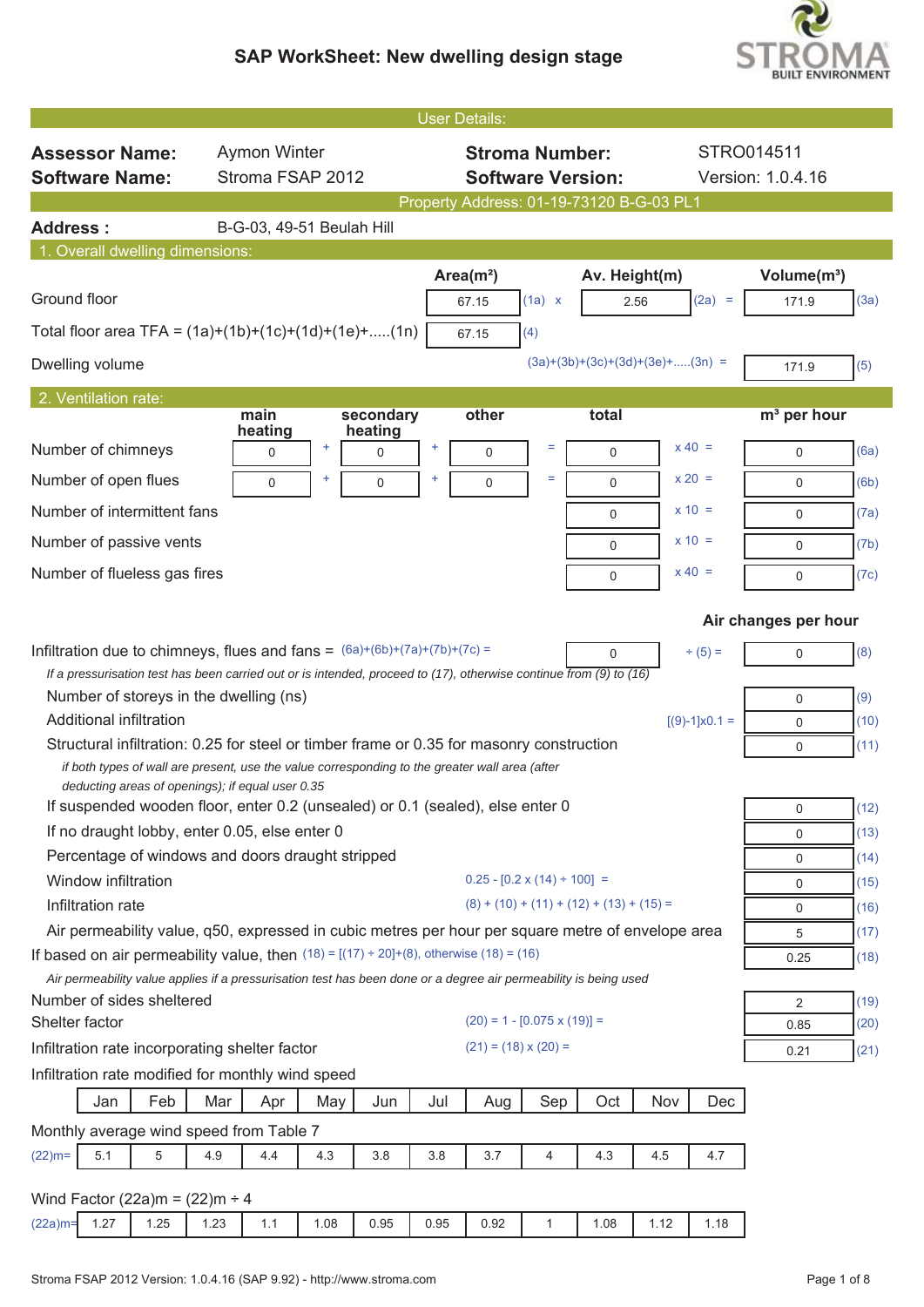

|                                                                                                                                                    |                                |                                |                                          | <b>User Details:</b>                       |                                       |               |                                   |                        |                                        |              |
|----------------------------------------------------------------------------------------------------------------------------------------------------|--------------------------------|--------------------------------|------------------------------------------|--------------------------------------------|---------------------------------------|---------------|-----------------------------------|------------------------|----------------------------------------|--------------|
| <b>Assessor Name:</b>                                                                                                                              | <b>Aymon Winter</b>            |                                |                                          |                                            | <b>Stroma Number:</b>                 |               |                                   |                        | STRO014511                             |              |
| <b>Software Name:</b>                                                                                                                              | Stroma FSAP 2012               |                                |                                          |                                            | <b>Software Version:</b>              |               |                                   |                        | Version: 1.0.4.16                      |              |
|                                                                                                                                                    |                                |                                | Property Address: 01-19-73120 B-G-03 PL1 |                                            |                                       |               |                                   |                        |                                        |              |
| <b>Address:</b>                                                                                                                                    |                                | B-G-03, 49-51 Beulah Hill      |                                          |                                            |                                       |               |                                   |                        |                                        |              |
| 1. Overall dwelling dimensions:                                                                                                                    |                                |                                |                                          |                                            |                                       |               |                                   |                        |                                        |              |
| Ground floor                                                                                                                                       |                                |                                |                                          | Area $(m2)$<br>67.15                       | (1a) x                                | Av. Height(m) | 2.56                              | $(2a) =$               | Volume(m <sup>3</sup> )<br>171.9       | (3a)         |
| Total floor area TFA = $(1a)+(1b)+(1c)+(1d)+(1e)+(1n)$                                                                                             |                                |                                |                                          | 67.15                                      | (4)                                   |               |                                   |                        |                                        |              |
| Dwelling volume                                                                                                                                    |                                |                                |                                          |                                            |                                       |               | $(3a)+(3b)+(3c)+(3d)+(3e)+(3n)$ = |                        | 171.9                                  | (5)          |
| 2. Ventilation rate:                                                                                                                               |                                |                                |                                          |                                            |                                       |               |                                   |                        |                                        |              |
| Number of chimneys                                                                                                                                 | main<br>heating<br>$\mathbf 0$ | secondary<br>heating<br>÷<br>0 | ÷                                        | other<br>$\mathbf 0$                       | Ξ                                     | total<br>0    |                                   | $x 40 =$               | m <sup>3</sup> per hour<br>$\mathbf 0$ | (6a)         |
| Number of open flues                                                                                                                               |                                |                                |                                          |                                            | Ξ                                     |               |                                   | $x 20 =$               |                                        |              |
| Number of intermittent fans                                                                                                                        | $\mathbf 0$                    | 0                              |                                          | 0                                          |                                       | $\mathbf 0$   |                                   | $x = 10 =$             | $\mathbf 0$                            | (6b)         |
|                                                                                                                                                    |                                |                                |                                          |                                            |                                       | 0             |                                   |                        | 0                                      | (7a)         |
| Number of passive vents                                                                                                                            |                                |                                |                                          |                                            |                                       | $\mathbf 0$   |                                   | $x = 10 =$             | $\mathbf 0$                            | (7b)         |
| Number of flueless gas fires                                                                                                                       |                                |                                |                                          |                                            |                                       | $\mathbf 0$   |                                   | $x 40 =$               | $\mathbf 0$                            | (7c)         |
|                                                                                                                                                    |                                |                                |                                          |                                            |                                       |               |                                   |                        | Air changes per hour                   |              |
| Infiltration due to chimneys, flues and fans = $(6a)+(6b)+(7a)+(7b)+(7c) =$                                                                        |                                |                                |                                          |                                            |                                       | 0             |                                   | $\div(5) =$            | $\mathbf 0$                            | (8)          |
| If a pressurisation test has been carried out or is intended, proceed to $(17)$ , otherwise continue from $(9)$ to $(16)$                          |                                |                                |                                          |                                            |                                       |               |                                   |                        |                                        |              |
| Number of storeys in the dwelling (ns)<br><b>Additional infiltration</b>                                                                           |                                |                                |                                          |                                            |                                       |               |                                   |                        | $\mathbf 0$                            | (9)          |
| Structural infiltration: 0.25 for steel or timber frame or 0.35 for masonry construction                                                           |                                |                                |                                          |                                            |                                       |               |                                   | $[(9)-1] \times 0.1 =$ | $\mathbf 0$<br>$\mathbf 0$             | (10)<br>(11) |
| if both types of wall are present, use the value corresponding to the greater wall area (after<br>deducting areas of openings); if equal user 0.35 |                                |                                |                                          |                                            |                                       |               |                                   |                        |                                        |              |
| If suspended wooden floor, enter 0.2 (unsealed) or 0.1 (sealed), else enter 0                                                                      |                                |                                |                                          |                                            |                                       |               |                                   |                        | 0                                      | (12)         |
| If no draught lobby, enter 0.05, else enter 0                                                                                                      |                                |                                |                                          |                                            |                                       |               |                                   |                        | $\mathbf 0$                            | (13)         |
| Percentage of windows and doors draught stripped                                                                                                   |                                |                                |                                          |                                            |                                       |               |                                   |                        | 0                                      | (14)         |
| Window infiltration<br>Infiltration rate                                                                                                           |                                |                                |                                          | $(8) + (10) + (11) + (12) + (13) + (15) =$ | $0.25 - [0.2 \times (14) \div 100] =$ |               |                                   |                        | $\mathbf 0$                            | (15)         |
| Air permeability value, q50, expressed in cubic metres per hour per square metre of envelope area                                                  |                                |                                |                                          |                                            |                                       |               |                                   |                        | 0                                      | (16)<br>(17) |
| If based on air permeability value, then $(18) = [(17) \div 20] + (8)$ , otherwise $(18) = (16)$                                                   |                                |                                |                                          |                                            |                                       |               |                                   |                        | 5<br>0.25                              | (18)         |
| Air permeability value applies if a pressurisation test has been done or a degree air permeability is being used                                   |                                |                                |                                          |                                            |                                       |               |                                   |                        |                                        |              |
| Number of sides sheltered                                                                                                                          |                                |                                |                                          |                                            |                                       |               |                                   |                        | 2                                      | (19)         |
| Shelter factor                                                                                                                                     |                                |                                |                                          |                                            | $(20) = 1 - [0.075 \times (19)] =$    |               |                                   |                        | 0.85                                   | (20)         |
| Infiltration rate incorporating shelter factor                                                                                                     |                                |                                |                                          | $(21) = (18) \times (20) =$                |                                       |               |                                   |                        | 0.21                                   | (21)         |
| Infiltration rate modified for monthly wind speed                                                                                                  |                                |                                |                                          |                                            |                                       |               |                                   |                        |                                        |              |
| Feb<br>Jan                                                                                                                                         | Mar<br>Apr                     | May<br>Jun                     | Jul                                      | Aug                                        | Sep                                   | Oct           | Nov                               | Dec                    |                                        |              |
| Monthly average wind speed from Table 7                                                                                                            |                                |                                |                                          |                                            |                                       |               |                                   |                        |                                        |              |
| 5<br>$(22)$ m=<br>5.1                                                                                                                              | 4.4<br>4.9                     | 4.3<br>3.8                     | 3.8                                      | 3.7                                        | $\overline{4}$                        | 4.3           | 4.5                               | 4.7                    |                                        |              |
| Wind Factor (22a)m = $(22)$ m ÷ 4                                                                                                                  |                                |                                |                                          |                                            |                                       |               |                                   |                        |                                        |              |
| 1.27<br>1.25<br>$(22a)$ m=                                                                                                                         | 1.23<br>1.1                    | 1.08<br>0.95                   | 0.95                                     | 0.92                                       | $\mathbf{1}$                          | 1.08          | 1.12                              | 1.18                   |                                        |              |
|                                                                                                                                                    |                                |                                |                                          |                                            |                                       |               |                                   |                        |                                        |              |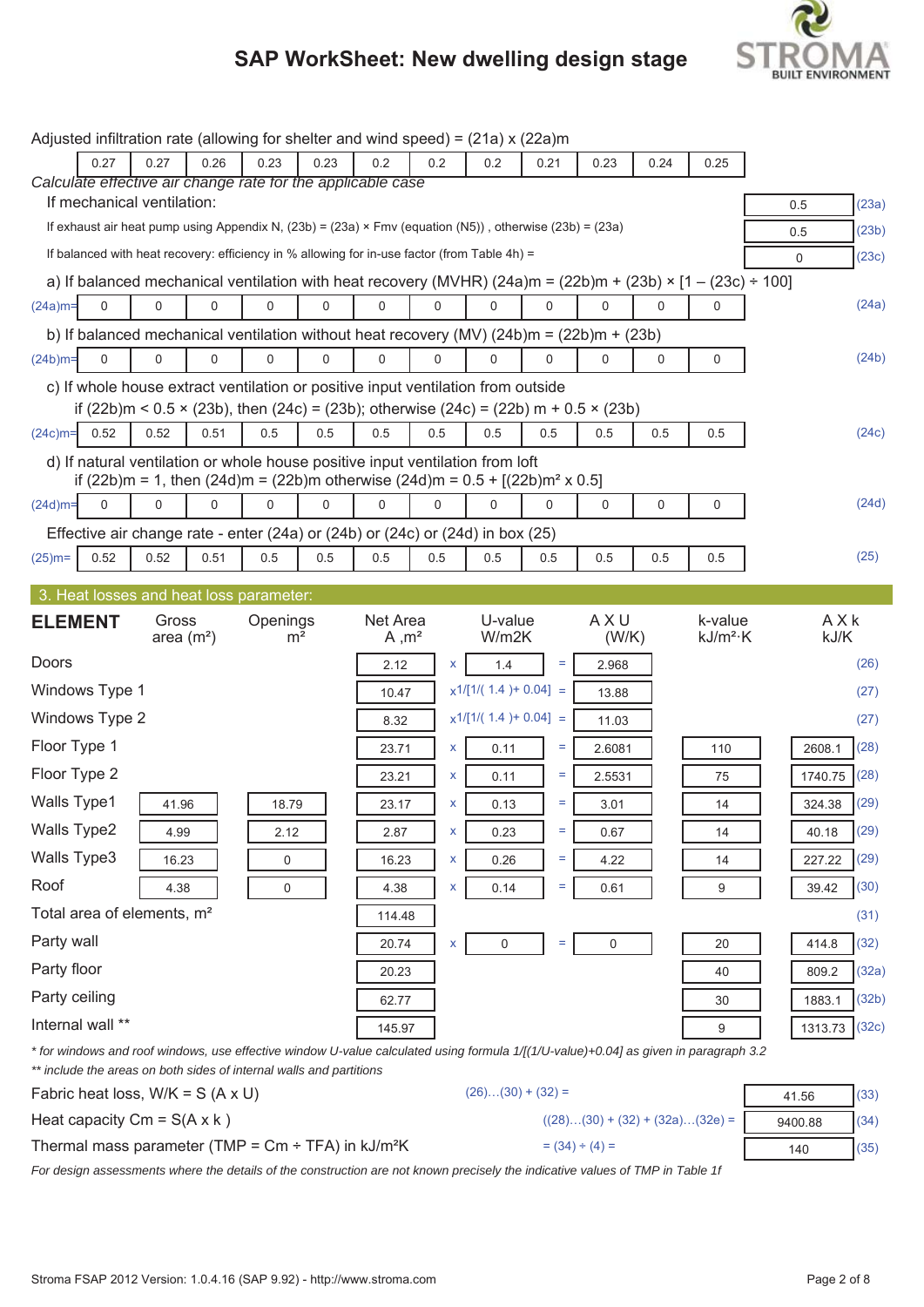

|                    |                                        |                      |      | Adjusted infiltration rate (allowing for shelter and wind speed) = $(21a) \times (22a)$ m               |                |                               |          |                         |             |                                                                                                       |          |                                                                                                                                      |     |                  |  |
|--------------------|----------------------------------------|----------------------|------|---------------------------------------------------------------------------------------------------------|----------------|-------------------------------|----------|-------------------------|-------------|-------------------------------------------------------------------------------------------------------|----------|--------------------------------------------------------------------------------------------------------------------------------------|-----|------------------|--|
|                    | 0.27                                   | 0.27                 | 0.26 | 0.23                                                                                                    | 0.23           | 0.2                           | 0.2      | 0.2                     | 0.21        | 0.23                                                                                                  | 0.24     | 0.25                                                                                                                                 |     |                  |  |
|                    | If mechanical ventilation:             |                      |      | Calculate effective air change rate for the applicable case                                             |                |                               |          |                         |             |                                                                                                       |          |                                                                                                                                      |     |                  |  |
|                    |                                        |                      |      | If exhaust air heat pump using Appendix N, (23b) = (23a) × Fmv (equation (N5)), otherwise (23b) = (23a) |                |                               |          |                         |             |                                                                                                       |          |                                                                                                                                      | 0.5 | (23a)            |  |
|                    |                                        |                      |      | If balanced with heat recovery: efficiency in % allowing for in-use factor (from Table 4h) =            |                |                               |          |                         |             |                                                                                                       |          |                                                                                                                                      | 0.5 | (23b)            |  |
|                    |                                        |                      |      |                                                                                                         |                |                               |          |                         |             |                                                                                                       |          | a) If balanced mechanical ventilation with heat recovery (MVHR) $(24a)$ m = $(22b)$ m + $(23b) \times [1 - (23c) \div 100]$          | 0   | (23c)            |  |
| $(24a)m=$          | $\Omega$                               | 0                    | 0    | $\Omega$                                                                                                | $\Omega$       | $\Omega$                      | $\Omega$ | $\Omega$                | $\Omega$    | $\Omega$                                                                                              | $\Omega$ | $\Omega$                                                                                                                             |     | (24a)            |  |
|                    |                                        |                      |      |                                                                                                         |                |                               |          |                         |             | b) If balanced mechanical ventilation without heat recovery (MV) $(24b)m = (22b)m + (23b)$            |          |                                                                                                                                      |     |                  |  |
| $(24b)$ m=         | 0                                      | 0                    | 0    | 0                                                                                                       | $\mathbf 0$    | 0                             | 0        | $\mathbf 0$             | $\mathbf 0$ | 0                                                                                                     | 0        | $\mathbf 0$                                                                                                                          |     | (24b)            |  |
|                    |                                        |                      |      | c) If whole house extract ventilation or positive input ventilation from outside                        |                |                               |          |                         |             |                                                                                                       |          |                                                                                                                                      |     |                  |  |
|                    |                                        |                      |      |                                                                                                         |                |                               |          |                         |             | if $(22b)$ m < 0.5 × $(23b)$ , then $(24c)$ = $(23b)$ ; otherwise $(24c)$ = $(22b)$ m + 0.5 × $(23b)$ |          |                                                                                                                                      |     |                  |  |
| $(24c)$ m=         | 0.52                                   | 0.52                 | 0.51 | 0.5                                                                                                     | 0.5            | 0.5                           | 0.5      | 0.5                     | 0.5         | 0.5                                                                                                   | 0.5      | 0.5                                                                                                                                  |     | (24c)            |  |
|                    |                                        |                      |      | d) If natural ventilation or whole house positive input ventilation from loft                           |                |                               |          |                         |             |                                                                                                       |          |                                                                                                                                      |     |                  |  |
|                    |                                        |                      |      | if (22b)m = 1, then (24d)m = (22b)m otherwise (24d)m = $0.5 + [(22b)m2 \times 0.5]$                     |                |                               |          |                         |             |                                                                                                       |          |                                                                                                                                      |     |                  |  |
| $(24d)$ m=         | $\mathbf 0$                            | 0                    | 0    | 0                                                                                                       | $\mathbf 0$    | 0                             | 0        | 0                       | 0           | 0                                                                                                     | 0        | 0                                                                                                                                    |     | (24d)            |  |
|                    |                                        |                      |      | Effective air change rate - enter (24a) or (24b) or (24c) or (24d) in box (25)                          |                |                               |          |                         |             |                                                                                                       |          |                                                                                                                                      |     |                  |  |
| $(25)$ m=          | 0.52                                   | 0.52                 | 0.51 | 0.5                                                                                                     | 0.5            | 0.5                           | 0.5      | 0.5                     | 0.5         | 0.5                                                                                                   | 0.5      | 0.5                                                                                                                                  |     | (25)             |  |
|                    |                                        |                      |      | 3. Heat losses and heat loss parameter:                                                                 |                |                               |          |                         |             |                                                                                                       |          |                                                                                                                                      |     |                  |  |
| <b>ELEMENT</b>     |                                        | Gross<br>area $(m2)$ |      | Openings                                                                                                | m <sup>2</sup> | Net Area<br>A, m <sup>2</sup> |          | U-value<br>W/m2K        |             | AXU<br>(W/K)                                                                                          |          | k-value<br>$kJ/m^2$ ·K                                                                                                               |     | AXk<br>kJ/K      |  |
| Doors              |                                        |                      |      |                                                                                                         |                | 2.12                          | X.       | 1.4                     | $\equiv$    | 2.968                                                                                                 |          |                                                                                                                                      |     | (26)             |  |
|                    | Windows Type 1                         |                      |      |                                                                                                         |                | 10.47                         |          | $x1/[1/(1.4) + 0.04] =$ |             | 13.88                                                                                                 |          |                                                                                                                                      |     | (27)             |  |
|                    | Windows Type 2                         |                      |      |                                                                                                         |                | 8.32                          |          | $x1/[1/(1.4) + 0.04] =$ |             | 11.03                                                                                                 |          |                                                                                                                                      |     | (27)             |  |
| Floor Type 1       |                                        |                      |      |                                                                                                         |                | 23.71                         | x        | 0.11                    | Ξ           | 2.6081                                                                                                |          | 110                                                                                                                                  |     | (28)<br>2608.1   |  |
| Floor Type 2       |                                        |                      |      |                                                                                                         |                | 23.21                         | X        | 0.11                    | Ξ           | 2.5531                                                                                                |          | 75                                                                                                                                   |     | (28)<br>1740.75  |  |
| <b>Walls Type1</b> |                                        | 41.96                |      | 18.79                                                                                                   |                | 23.17                         | X        | 0.13                    | ÷           | 3.01                                                                                                  |          | 14                                                                                                                                   |     | 324.38<br>(29)   |  |
| Walls Type2        |                                        | 4.99                 |      | 2.12                                                                                                    |                | 2.87                          | x        | 0.23                    | Ξ           | 0.67                                                                                                  |          | 14                                                                                                                                   |     | 40.18<br>(29)    |  |
| Walls Type3        |                                        | 16.23                |      | 0                                                                                                       |                | 16.23                         | X        | 0.26                    | Ξ           | 4.22                                                                                                  |          | 14                                                                                                                                   |     | (29)<br>227.22   |  |
| Roof               |                                        | 4.38                 |      | 0                                                                                                       |                | 4.38                          | X        | 0.14                    | $\equiv$    | 0.61                                                                                                  |          | 9                                                                                                                                    |     | (30)<br>39.42    |  |
|                    | Total area of elements, m <sup>2</sup> |                      |      |                                                                                                         |                | 114.48                        |          |                         |             |                                                                                                       |          |                                                                                                                                      |     | (31)             |  |
| Party wall         |                                        |                      |      |                                                                                                         |                | 20.74                         | x        | 0                       | $=$         | 0                                                                                                     |          | 20                                                                                                                                   |     | (32)<br>414.8    |  |
| Party floor        |                                        |                      |      |                                                                                                         |                | 20.23                         |          |                         |             |                                                                                                       |          | 40                                                                                                                                   |     | (32a)<br>809.2   |  |
| Party ceiling      |                                        |                      |      |                                                                                                         |                | 62.77                         |          |                         |             |                                                                                                       |          | 30                                                                                                                                   |     | (32b)<br>1883.1  |  |
|                    | Internal wall **                       |                      |      |                                                                                                         |                | 145.97                        |          |                         |             |                                                                                                       |          | 9                                                                                                                                    |     | (32c)<br>1313.73 |  |
|                    |                                        |                      |      |                                                                                                         |                |                               |          |                         |             |                                                                                                       |          |                                                                                                                                      |     |                  |  |
|                    |                                        |                      |      |                                                                                                         |                |                               |          |                         |             |                                                                                                       |          |                                                                                                                                      |     |                  |  |
|                    |                                        |                      |      | ** include the areas on both sides of internal walls and partitions                                     |                |                               |          |                         |             |                                                                                                       |          | * for windows and roof windows, use effective window U-value calculated using formula 1/[(1/U-value)+0.04] as given in paragraph 3.2 |     |                  |  |

| Fabric heat loss, $W/K = S (A \times U)$                                           | $(26)(30) + (32) =$               | 41.56   | (33) |
|------------------------------------------------------------------------------------|-----------------------------------|---------|------|
| Heat capacity $Cm = S(A \times k)$                                                 | $((28)(30) + (32) + (32a)(32e) =$ | 9400.88 | (34) |
| Thermal mass parameter (TMP = $\text{Cm} \div \text{TFA}$ ) in kJ/m <sup>2</sup> K | $= (34) \div (4) =$               | 140     | (35) |

*For design assessments where the details of the construction are not known precisely the indicative values of TMP in Table 1f*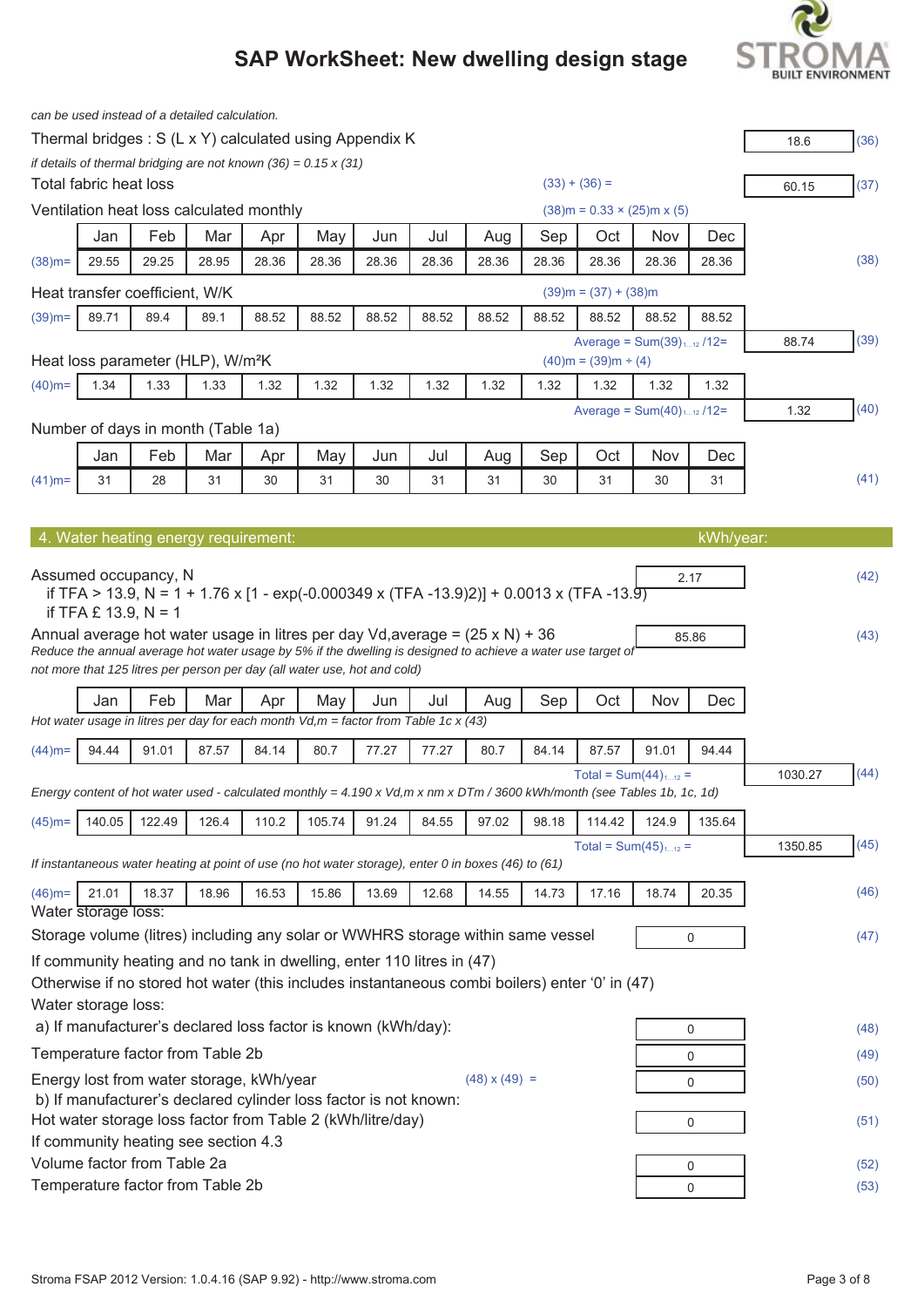# **BUILT ENVIRONMENT**

|           |                        | can be used instead of a detailed calculation. |       |       |                                                                                        |       |       |                                                                                                              |       |                             |                                                                                                                                            |             |         |      |
|-----------|------------------------|------------------------------------------------|-------|-------|----------------------------------------------------------------------------------------|-------|-------|--------------------------------------------------------------------------------------------------------------|-------|-----------------------------|--------------------------------------------------------------------------------------------------------------------------------------------|-------------|---------|------|
|           |                        |                                                |       |       | Thermal bridges: S (L x Y) calculated using Appendix K                                 |       |       |                                                                                                              |       |                             |                                                                                                                                            |             | 18.6    | (36) |
|           |                        |                                                |       |       | if details of thermal bridging are not known $(36) = 0.15 \times (31)$                 |       |       |                                                                                                              |       |                             |                                                                                                                                            |             |         |      |
|           | Total fabric heat loss |                                                |       |       |                                                                                        |       |       |                                                                                                              |       | $(33) + (36) =$             |                                                                                                                                            |             | 60.15   | (37) |
|           |                        | Ventilation heat loss calculated monthly       |       |       |                                                                                        |       |       |                                                                                                              |       |                             | $(38)$ m = 0.33 × (25)m x (5)                                                                                                              |             |         |      |
|           | Jan                    | Feb                                            | Mar   | Apr   | May                                                                                    | Jun   | Jul   | Aug                                                                                                          | Sep   | Oct                         | Nov                                                                                                                                        | Dec         |         |      |
| $(38)$ m= | 29.55                  | 29.25                                          | 28.95 | 28.36 | 28.36                                                                                  | 28.36 | 28.36 | 28.36                                                                                                        | 28.36 | 28.36                       | 28.36                                                                                                                                      | 28.36       |         | (38) |
|           |                        | Heat transfer coefficient, W/K                 |       |       |                                                                                        |       |       |                                                                                                              |       | $(39)$ m = $(37) + (38)$ m  |                                                                                                                                            |             |         |      |
| $(39)$ m= | 89.71                  | 89.4                                           | 89.1  | 88.52 | 88.52                                                                                  | 88.52 | 88.52 | 88.52                                                                                                        | 88.52 | 88.52                       | 88.52                                                                                                                                      | 88.52       |         |      |
|           |                        |                                                |       |       |                                                                                        |       |       |                                                                                                              |       |                             | Average = $Sum(39)_{112}$ /12=                                                                                                             |             | 88.74   | (39) |
|           |                        | Heat loss parameter (HLP), W/m <sup>2</sup> K  |       |       |                                                                                        |       |       |                                                                                                              |       | $(40)$ m = $(39)$ m ÷ $(4)$ |                                                                                                                                            |             |         |      |
| $(40)$ m= | 1.34                   | 1.33                                           | 1.33  | 1.32  | 1.32                                                                                   | 1.32  | 1.32  | 1.32                                                                                                         | 1.32  | 1.32                        | 1.32                                                                                                                                       | 1.32        |         |      |
|           |                        |                                                |       |       |                                                                                        |       |       |                                                                                                              |       |                             | Average = $Sum(40)_{112}$ /12=                                                                                                             |             | 1.32    | (40) |
|           |                        | Number of days in month (Table 1a)             |       |       |                                                                                        |       |       |                                                                                                              |       |                             |                                                                                                                                            |             |         |      |
|           | Jan                    | Feb                                            | Mar   | Apr   | May                                                                                    | Jun   | Jul   | Aug                                                                                                          | Sep   | Oct                         | Nov                                                                                                                                        | Dec         |         |      |
| $(41)$ m= | 31                     | 28                                             | 31    | 30    | 31                                                                                     | 30    | 31    | 31                                                                                                           | 30    | 31                          | 30                                                                                                                                         | 31          |         | (41) |
|           |                        |                                                |       |       |                                                                                        |       |       |                                                                                                              |       |                             |                                                                                                                                            |             |         |      |
|           |                        | 4. Water heating energy requirement:           |       |       |                                                                                        |       |       |                                                                                                              |       |                             |                                                                                                                                            | kWh/year:   |         |      |
|           |                        |                                                |       |       |                                                                                        |       |       |                                                                                                              |       |                             |                                                                                                                                            |             |         |      |
|           |                        | Assumed occupancy, N                           |       |       |                                                                                        |       |       |                                                                                                              |       |                             |                                                                                                                                            | 2.17        |         | (42) |
|           |                        |                                                |       |       |                                                                                        |       |       | if TFA > 13.9, N = 1 + 1.76 x [1 - exp(-0.000349 x (TFA -13.9)2)] + 0.0013 x (TFA -13.9)                     |       |                             |                                                                                                                                            |             |         |      |
|           | if TFA £ 13.9, $N = 1$ |                                                |       |       |                                                                                        |       |       | Annual average hot water usage in litres per day Vd, average = $(25 \times N)$ + 36                          |       |                             |                                                                                                                                            |             |         |      |
|           |                        |                                                |       |       |                                                                                        |       |       | Reduce the annual average hot water usage by 5% if the dwelling is designed to achieve a water use target of |       |                             |                                                                                                                                            | 85.86       |         | (43) |
|           |                        |                                                |       |       | not more that 125 litres per person per day (all water use, hot and cold)              |       |       |                                                                                                              |       |                             |                                                                                                                                            |             |         |      |
|           | Jan                    | Feb                                            | Mar   | Apr   | May                                                                                    | Jun   | Jul   | Aug                                                                                                          | Sep   | Oct                         | Nov                                                                                                                                        | Dec         |         |      |
|           |                        |                                                |       |       | Hot water usage in litres per day for each month $Vd, m =$ factor from Table 1c x (43) |       |       |                                                                                                              |       |                             |                                                                                                                                            |             |         |      |
| $(44)$ m= | 94.44                  | 91.01                                          | 87.57 | 84.14 | 80.7                                                                                   | 77.27 | 77.27 | 80.7                                                                                                         | 84.14 | 87.57                       | 91.01                                                                                                                                      | 94.44       |         |      |
|           |                        |                                                |       |       |                                                                                        |       |       |                                                                                                              |       |                             | Total = $Sum(44)_{112}$ =                                                                                                                  |             | 1030.27 | (44) |
|           |                        |                                                |       |       |                                                                                        |       |       |                                                                                                              |       |                             | Energy content of hot water used - calculated monthly = $4.190 \times Vd, m \times Nm \times DTm / 3600$ kWh/month (see Tables 1b, 1c, 1d) |             |         |      |
| $(45)$ m= | 140.05                 | 122.49                                         | 126.4 | 110.2 | 105.74                                                                                 | 91.24 | 84.55 | 97.02                                                                                                        | 98.18 | 114.42                      | 124.9                                                                                                                                      | 135.64      |         |      |
|           |                        |                                                |       |       |                                                                                        |       |       |                                                                                                              |       |                             | Total = $Sum(45)_{112}$ =                                                                                                                  |             | 1350.85 | (45) |
|           |                        |                                                |       |       |                                                                                        |       |       | If instantaneous water heating at point of use (no hot water storage), enter 0 in boxes (46) to (61)         |       |                             |                                                                                                                                            |             |         |      |
| $(46)$ m= | 21.01                  | 18.37                                          | 18.96 | 16.53 | 15.86                                                                                  | 13.69 | 12.68 | 14.55                                                                                                        | 14.73 | 17.16                       | 18.74                                                                                                                                      | 20.35       |         | (46) |
|           | Water storage loss:    |                                                |       |       |                                                                                        |       |       |                                                                                                              |       |                             |                                                                                                                                            |             |         |      |
|           |                        |                                                |       |       |                                                                                        |       |       | Storage volume (litres) including any solar or WWHRS storage within same vessel                              |       |                             |                                                                                                                                            | 0           |         | (47) |
|           |                        |                                                |       |       | If community heating and no tank in dwelling, enter 110 litres in (47)                 |       |       |                                                                                                              |       |                             |                                                                                                                                            |             |         |      |
|           |                        |                                                |       |       |                                                                                        |       |       | Otherwise if no stored hot water (this includes instantaneous combi boilers) enter '0' in (47)               |       |                             |                                                                                                                                            |             |         |      |
|           | Water storage loss:    |                                                |       |       |                                                                                        |       |       |                                                                                                              |       |                             |                                                                                                                                            |             |         |      |
|           |                        |                                                |       |       | a) If manufacturer's declared loss factor is known (kWh/day):                          |       |       |                                                                                                              |       |                             |                                                                                                                                            | 0           |         | (48) |
|           |                        | Temperature factor from Table 2b               |       |       |                                                                                        |       |       |                                                                                                              |       |                             |                                                                                                                                            | 0           |         | (49) |
|           |                        | Energy lost from water storage, kWh/year       |       |       |                                                                                        |       |       | $(48) \times (49) =$                                                                                         |       |                             |                                                                                                                                            | 0           |         | (50) |
|           |                        |                                                |       |       | b) If manufacturer's declared cylinder loss factor is not known:                       |       |       |                                                                                                              |       |                             |                                                                                                                                            |             |         |      |
|           |                        |                                                |       |       | Hot water storage loss factor from Table 2 (kWh/litre/day)                             |       |       |                                                                                                              |       |                             |                                                                                                                                            | 0           |         | (51) |
|           |                        | If community heating see section 4.3           |       |       |                                                                                        |       |       |                                                                                                              |       |                             |                                                                                                                                            |             |         |      |
|           |                        | Volume factor from Table 2a                    |       |       |                                                                                        |       |       |                                                                                                              |       |                             |                                                                                                                                            | 0           |         | (52) |
|           |                        | Temperature factor from Table 2b               |       |       |                                                                                        |       |       |                                                                                                              |       |                             |                                                                                                                                            | $\mathbf 0$ |         | (53) |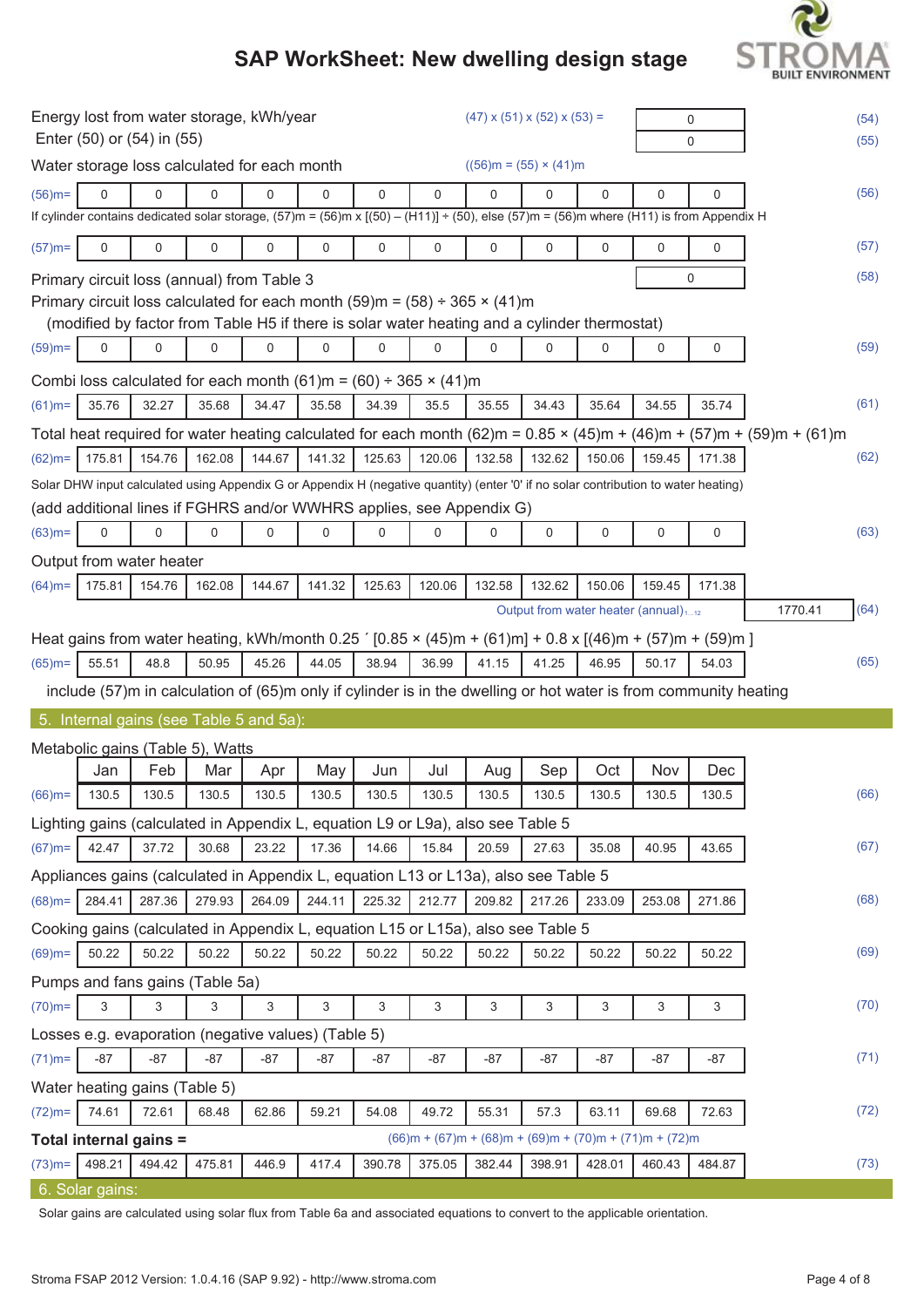# **BUILT ENVIRONMENT**

# **SAP WorkSheet: New dwelling design stage**

|           |                  | Enter (50) or (54) in (55)       |        | Energy lost from water storage, kWh/year            |             |             |                                                                                      |             | $(47)$ x $(51)$ x $(52)$ x $(53)$ =                                                                                                                      |          |             | 0<br>0 |                                                                                                                                          | (54)<br>(55) |
|-----------|------------------|----------------------------------|--------|-----------------------------------------------------|-------------|-------------|--------------------------------------------------------------------------------------|-------------|----------------------------------------------------------------------------------------------------------------------------------------------------------|----------|-------------|--------|------------------------------------------------------------------------------------------------------------------------------------------|--------------|
|           |                  |                                  |        | Water storage loss calculated for each month        |             |             |                                                                                      |             | $((56)m = (55) \times (41)m)$                                                                                                                            |          |             |        |                                                                                                                                          |              |
| $(56)$ m= | $\Omega$         | $\mathbf 0$                      | 0      | 0                                                   | 0           | $\mathbf 0$ | 0                                                                                    | $\mathbf 0$ | 0                                                                                                                                                        | $\Omega$ | $\mathbf 0$ | 0      |                                                                                                                                          | (56)         |
|           |                  |                                  |        |                                                     |             |             |                                                                                      |             | If cylinder contains dedicated solar storage, $(57)$ m = $(56)$ m x $[(50) - (H11)] + (50)$ , else $(57)$ m = $(56)$ m where $(H11)$ is from Appendix H  |          |             |        |                                                                                                                                          |              |
| $(57)$ m= | $\mathbf 0$      | 0                                | 0      | 0                                                   | 0           | $\mathbf 0$ | 0                                                                                    | 0           | 0                                                                                                                                                        | 0        | $\mathbf 0$ | 0      |                                                                                                                                          | (57)         |
|           |                  |                                  |        | Primary circuit loss (annual) from Table 3          |             |             |                                                                                      |             |                                                                                                                                                          |          |             | 0      |                                                                                                                                          | (58)         |
|           |                  |                                  |        |                                                     |             |             | Primary circuit loss calculated for each month (59)m = $(58) \div 365 \times (41)$ m |             |                                                                                                                                                          |          |             |        |                                                                                                                                          |              |
|           |                  |                                  |        |                                                     |             |             |                                                                                      |             | (modified by factor from Table H5 if there is solar water heating and a cylinder thermostat)                                                             |          |             |        |                                                                                                                                          |              |
| $(59)$ m= | $\boldsymbol{0}$ | $\mathbf 0$                      | 0      | 0                                                   | $\mathbf 0$ | 0           | 0                                                                                    | $\mathbf 0$ | 0                                                                                                                                                        | 0        | $\mathbf 0$ | 0      |                                                                                                                                          | (59)         |
|           |                  |                                  |        |                                                     |             |             | Combi loss calculated for each month $(61)$ m = $(60) \div 365 \times (41)$ m        |             |                                                                                                                                                          |          |             |        |                                                                                                                                          |              |
| $(61)$ m= | 35.76            | 32.27                            | 35.68  | 34.47                                               | 35.58       | 34.39       | 35.5                                                                                 | 35.55       | 34.43                                                                                                                                                    | 35.64    | 34.55       | 35.74  |                                                                                                                                          | (61)         |
|           |                  |                                  |        |                                                     |             |             |                                                                                      |             |                                                                                                                                                          |          |             |        | Total heat required for water heating calculated for each month (62)m = $0.85 \times (45)$ m + $(46)$ m + $(57)$ m + $(59)$ m + $(61)$ m |              |
| $(62)$ m= | 175.81           | 154.76                           | 162.08 | 144.67                                              | 141.32      | 125.63      | 120.06                                                                               | 132.58      | 132.62                                                                                                                                                   | 150.06   | 159.45      | 171.38 |                                                                                                                                          | (62)         |
|           |                  |                                  |        |                                                     |             |             |                                                                                      |             | Solar DHW input calculated using Appendix G or Appendix H (negative quantity) (enter '0' if no solar contribution to water heating)                      |          |             |        |                                                                                                                                          |              |
|           |                  |                                  |        |                                                     |             |             | (add additional lines if FGHRS and/or WWHRS applies, see Appendix G)                 |             |                                                                                                                                                          |          |             |        |                                                                                                                                          |              |
| $(63)$ m= | 0                | $\mathbf 0$                      | 0      | 0                                                   | 0           | 0           | 0                                                                                    | 0           | 0                                                                                                                                                        | 0        | 0           | 0      |                                                                                                                                          | (63)         |
|           |                  | Output from water heater         |        |                                                     |             |             |                                                                                      |             |                                                                                                                                                          |          |             |        |                                                                                                                                          |              |
| $(64)$ m= | 175.81           | 154.76                           | 162.08 | 144.67                                              | 141.32      | 125.63      | 120.06                                                                               | 132.58      | 132.62                                                                                                                                                   | 150.06   | 159.45      | 171.38 |                                                                                                                                          |              |
|           |                  |                                  |        |                                                     |             |             |                                                                                      |             | Output from water heater (annual) <sub>112</sub>                                                                                                         |          |             |        | 1770.41                                                                                                                                  | (64)         |
|           |                  |                                  |        |                                                     |             |             |                                                                                      |             | Heat gains from water heating, kWh/month 0.25 $(0.85 \times (45) \text{m} + (61) \text{m}) + 0.8 \times [(46) \text{m} + (57) \text{m} + (59) \text{m}]$ |          |             |        |                                                                                                                                          |              |
| $(65)$ m= | 55.51            | 48.8                             | 50.95  | 45.26                                               | 44.05       | 38.94       | 36.99                                                                                | 41.15       | 41.25                                                                                                                                                    | 46.95    | 50.17       | 54.03  |                                                                                                                                          | (65)         |
|           |                  |                                  |        |                                                     |             |             |                                                                                      |             | include (57)m in calculation of (65)m only if cylinder is in the dwelling or hot water is from community heating                                         |          |             |        |                                                                                                                                          |              |
|           |                  |                                  |        | 5. Internal gains (see Table 5 and 5a):             |             |             |                                                                                      |             |                                                                                                                                                          |          |             |        |                                                                                                                                          |              |
|           |                  | Metabolic gains (Table 5), Watts |        |                                                     |             |             |                                                                                      |             |                                                                                                                                                          |          |             |        |                                                                                                                                          |              |
|           | Jan              | Feb                              | Mar    | Apr                                                 | May         | Jun         | Jul                                                                                  | Aug         | Sep                                                                                                                                                      | Oct      | Nov         | Dec    |                                                                                                                                          |              |
|           | $(66)$ m= 130.5  | 130.5                            | 130.5  | 130.5                                               | 130.5       | 130.5       | 130.5                                                                                | 130.5       | 130.5                                                                                                                                                    | 130.5    | 130.5       | 130.5  |                                                                                                                                          | (66)         |
|           |                  |                                  |        |                                                     |             |             | Lighting gains (calculated in Appendix L, equation L9 or L9a), also see Table 5      |             |                                                                                                                                                          |          |             |        |                                                                                                                                          |              |
| $(67)$ m= | 42.47            | 37.72                            | 30.68  | 23.22                                               | 17.36       | 14.66       | 15.84                                                                                | 20.59       | 27.63                                                                                                                                                    | 35.08    | 40.95       | 43.65  |                                                                                                                                          | (67)         |
|           |                  |                                  |        |                                                     |             |             |                                                                                      |             | Appliances gains (calculated in Appendix L, equation L13 or L13a), also see Table 5                                                                      |          |             |        |                                                                                                                                          |              |
| $(68)$ m= | 284.41           | 287.36                           | 279.93 | 264.09                                              | 244.11      | 225.32      | 212.77                                                                               | 209.82      | 217.26                                                                                                                                                   | 233.09   | 253.08      | 271.86 |                                                                                                                                          | (68)         |
|           |                  |                                  |        |                                                     |             |             |                                                                                      |             | Cooking gains (calculated in Appendix L, equation L15 or L15a), also see Table 5                                                                         |          |             |        |                                                                                                                                          |              |
| $(69)$ m= | 50.22            | 50.22                            | 50.22  | 50.22                                               | 50.22       | 50.22       | 50.22                                                                                | 50.22       | 50.22                                                                                                                                                    | 50.22    | 50.22       | 50.22  |                                                                                                                                          | (69)         |
|           |                  | Pumps and fans gains (Table 5a)  |        |                                                     |             |             |                                                                                      |             |                                                                                                                                                          |          |             |        |                                                                                                                                          |              |
| $(70)$ m= | 3                | 3                                | 3      | 3                                                   | 3           | 3           | 3                                                                                    | 3           | 3                                                                                                                                                        | 3        | 3           | 3      |                                                                                                                                          | (70)         |
|           |                  |                                  |        | Losses e.g. evaporation (negative values) (Table 5) |             |             |                                                                                      |             |                                                                                                                                                          |          |             |        |                                                                                                                                          |              |
| $(71)$ m= |                  | $-87$                            | $-87$  | $-87$                                               | $-87$       | $-87$       | $-87$                                                                                | $-87$       | $-87$                                                                                                                                                    | $-87$    | $-87$       | $-87$  |                                                                                                                                          | (71)         |
|           | $-87$            |                                  |        |                                                     |             |             |                                                                                      |             |                                                                                                                                                          |          |             |        |                                                                                                                                          |              |
|           |                  | Water heating gains (Table 5)    |        |                                                     |             |             |                                                                                      |             |                                                                                                                                                          |          |             |        |                                                                                                                                          |              |
| $(72)$ m= | 74.61            | 72.61                            | 68.48  | 62.86                                               | 59.21       | 54.08       | 49.72                                                                                | 55.31       | 57.3                                                                                                                                                     | 63.11    | 69.68       | 72.63  |                                                                                                                                          | (72)         |
|           |                  | Total internal gains =           |        |                                                     |             |             |                                                                                      |             | $(66)m + (67)m + (68)m + (69)m + (70)m + (71)m + (72)m$                                                                                                  |          |             |        |                                                                                                                                          |              |
| $(73)$ m= | 498.21           | 494.42                           | 475.81 | 446.9                                               | 417.4       | 390.78      | 375.05                                                                               | 382.44      | 398.91                                                                                                                                                   | 428.01   | 460.43      | 484.87 |                                                                                                                                          | (73)         |

Solar gains are calculated using solar flux from Table 6a and associated equations to convert to the applicable orientation.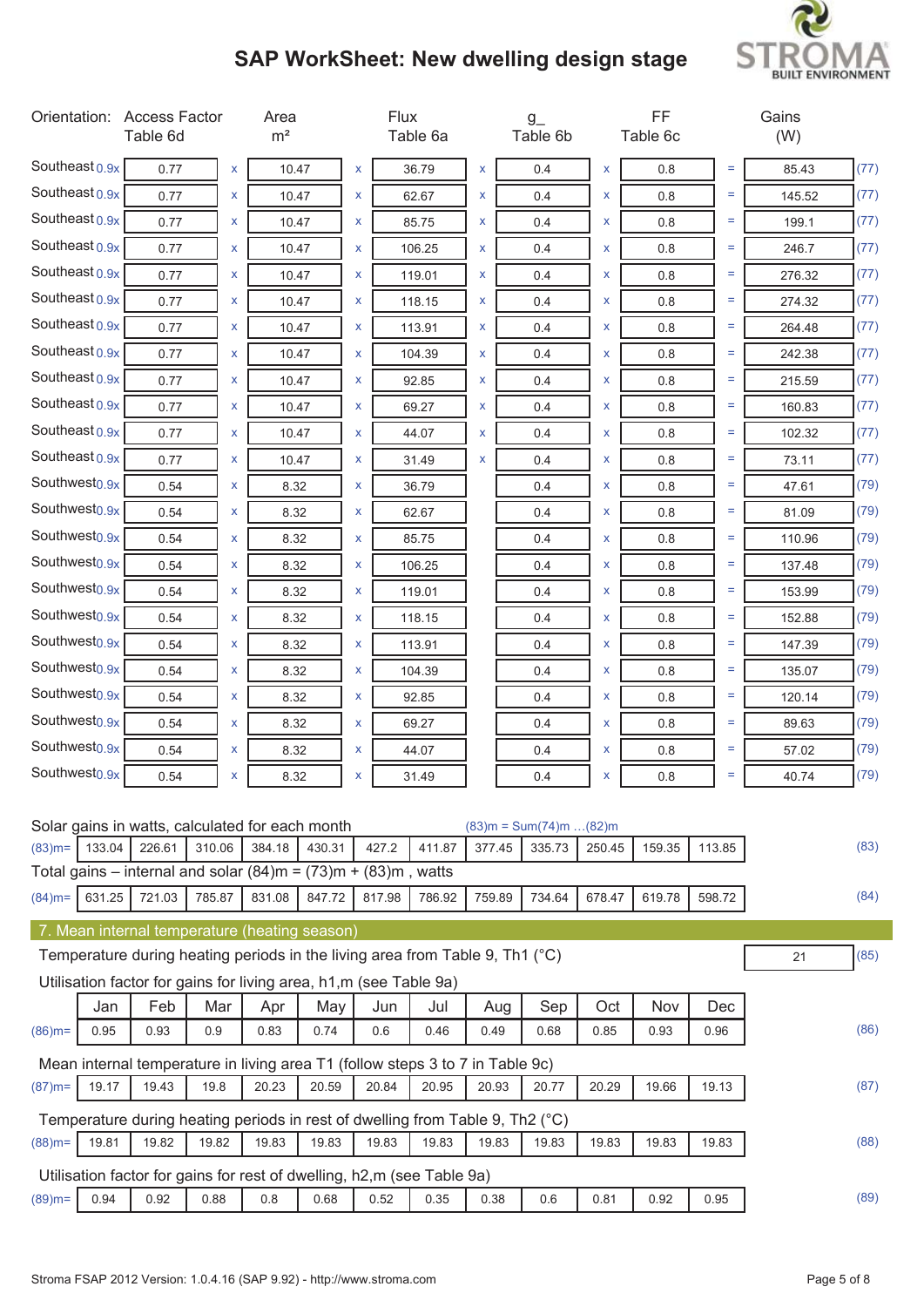

| Southeast $0.9x$<br>(77)<br>0.77<br>X<br>10.47<br>$\pmb{\mathsf{X}}$<br>36.79<br>X<br>0.4<br>X<br>0.8<br>Ξ<br>85.43<br>Southeast $0.9x$<br>(77)<br>0.77<br>10.47<br>62.67<br>X<br>0.8<br>Ξ<br>145.52<br>x<br>x<br>0.4<br>x<br>Southeast $0.9x$<br>(77)<br>$=$<br>0.77<br>x<br>10.47<br>X<br>85.75<br>X<br>0.4<br>X<br>0.8<br>199.1<br>Southeast $0.9x$<br>106.25<br>(77)<br>0.77<br>10.47<br>X<br>0.4<br>X<br>0.8<br>Ξ<br>246.7<br>x<br>X<br>Southeast $0.9x$<br>(77)<br>0.77<br>X<br>X<br>Ξ<br>276.32<br>x<br>10.47<br>x<br>119.01<br>0.8<br>0.4<br>Southeast $0.9x$<br>(77)<br>Ξ<br>X<br>0.77<br>X<br>10.47<br>X<br>118.15<br>0.4<br>x<br>0.8<br>274.32<br>Southeast $0.9x$<br>(77)<br>0.77<br>10.47<br>113.91<br>X<br>0.4<br>0.8<br>Ξ<br>264.48<br>x<br>x<br>x<br>Southeast $0.9x$<br>(77)<br>0.77<br>104.39<br>X<br>0.8<br>Ξ<br>x<br>10.47<br>x<br>0.4<br>x<br>242.38<br>Southeast 0.9x<br>(77)<br>$=$<br>X<br>0.77<br>x<br>10.47<br>X<br>92.85<br>0.4<br>X<br>0.8<br>215.59<br>Southeast $0.9x$<br>(77)<br>0.77<br>10.47<br>69.27<br>X<br>0.4<br>0.8<br>$=$<br>160.83<br>x<br>X<br>x<br>Southeast $0.9x$<br>$=$<br>(77)<br>0.77<br>$\pmb{\mathsf{X}}$<br>X<br>X<br>X<br>10.47<br>44.07<br>0.8<br>102.32<br>0.4<br>Southeast $0.9x$<br>(77)<br>Ξ<br>0.77<br>10.47<br>31.49<br>X<br>0.4<br>0.8<br>x<br>x<br>x<br>73.11<br>Southwest <sub>0.9x</sub><br>(79)<br>0.54<br>8.32<br>0.8<br>Ξ<br>x<br>x<br>36.79<br>0.4<br>x<br>47.61<br>Southwest <sub>0.9x</sub><br>(79)<br>0.54<br>0.8<br>Ξ<br>x<br>8.32<br>X<br>62.67<br>0.4<br>x<br>81.09<br>Southwest <sub>0.9x</sub><br>(79)<br>$=$<br>0.54<br>8.32<br>85.75<br>0.4<br>0.8<br>110.96<br>x<br>X<br>x<br>Southwest <sub>0.9x</sub><br>(79)<br>0.54<br>106.25<br>$=$<br>x<br>8.32<br>X<br>0.4<br>x<br>0.8<br>137.48<br>Southwest <sub>0.9x</sub><br>(79)<br>0.54<br>X<br>Ξ<br>x<br>8.32<br>X<br>119.01<br>0.8<br>153.99<br>0.4<br>Southwest <sub>0.9x</sub><br>(79)<br>0.54<br>Ξ<br>8.32<br>118.15<br>0.4<br>X<br>0.8<br>152.88<br>x<br>x<br>Southwest <sub>0.9x</sub><br>(79)<br>0.54<br>8.32<br>113.91<br>0.8<br>Ξ<br>x<br>x<br>0.4<br>x<br>147.39<br>Southwest <sub>0.9x</sub><br>(79)<br>0.54<br>Ξ<br>x<br>8.32<br>X<br>104.39<br>0.4<br>x<br>0.8<br>135.07<br>Southwest <sub>0.9x</sub><br>(79)<br>0.54<br>$=$<br>8.32<br>92.85<br>0.4<br>0.8<br>120.14<br>x<br>X<br>x<br>Southwest <sub>0.9x</sub><br>(79)<br>0.54<br>69.27<br>$=$<br>x<br>8.32<br>X<br>0.4<br>x<br>0.8<br>89.63<br>Southwest <sub>0.9x</sub><br>(79)<br>Ξ<br>0.54<br>x<br>8.32<br>x<br>44.07<br>x<br>0.8<br>57.02<br>0.4<br>Southwest <sub>0.9x</sub><br>(79)<br>0.54<br>31.49<br>0.4<br>0.8<br>8.32<br>Ξ<br>40.74<br>x<br>x<br>x<br>Solar gains in watts, calculated for each month<br>$(83)m = Sum(74)m$ $(82)m$<br>113.85<br>(83)<br>133.04<br>226.61<br>310.06<br>384.18<br>430.31<br>427.2<br>411.87<br>377.45<br>335.73<br>159.35<br>$(83)$ m=<br>250.45<br>Total gains – internal and solar $(84)$ m = $(73)$ m + $(83)$ m, watts<br>631.25<br>721.03<br>785.87<br>817.98<br>786.92<br>759.89<br>734.64<br>678.47<br>598.72<br>(84)<br>$(84)$ m=<br>831.08<br>847.72<br>619.78<br>7. Mean internal temperature (heating season)<br>Temperature during heating periods in the living area from Table 9, Th1 (°C)<br>(85)<br>21<br>Utilisation factor for gains for living area, h1,m (see Table 9a)<br>Feb<br>Mar<br>Sep<br>Jan<br>Apr<br>May<br>Jun<br>Jul<br>Oct<br>Nov<br>Aug<br>Dec<br>(86)<br>0.95<br>0.93<br>0.9<br>0.83<br>0.74<br>0.6<br>0.49<br>0.68<br>0.85<br>0.93<br>0.96<br>$(86)$ m=<br>0.46<br>Mean internal temperature in living area T1 (follow steps 3 to 7 in Table 9c)<br>(87)<br>19.17<br>19.43<br>19.8<br>20.23<br>20.59<br>20.84<br>20.95<br>20.93<br>20.77<br>20.29<br>19.66<br>19.13<br>$(87)$ m=<br>Temperature during heating periods in rest of dwelling from Table 9, Th2 (°C)<br>(88)<br>19.82<br>19.83<br>$(88)$ m=<br>19.81<br>19.82<br>19.83<br>19.83<br>19.83<br>19.83<br>19.83<br>19.83<br>19.83<br>19.83<br>Utilisation factor for gains for rest of dwelling, h2,m (see Table 9a)<br>(89)<br>0.94<br>0.92<br>$(89)$ m=<br>0.88<br>0.8<br>0.68<br>0.52<br>0.35<br>0.38<br>0.6<br>0.81<br>0.92<br>0.95 |  | Orientation: Access Factor<br>Table 6d |  | Area<br>m <sup>2</sup> |  | Flux | Table 6a |  | $g_{-}$<br>Table 6b |  | FF<br>Table 6c |  | Gains<br>(W) |  |
|--------------------------------------------------------------------------------------------------------------------------------------------------------------------------------------------------------------------------------------------------------------------------------------------------------------------------------------------------------------------------------------------------------------------------------------------------------------------------------------------------------------------------------------------------------------------------------------------------------------------------------------------------------------------------------------------------------------------------------------------------------------------------------------------------------------------------------------------------------------------------------------------------------------------------------------------------------------------------------------------------------------------------------------------------------------------------------------------------------------------------------------------------------------------------------------------------------------------------------------------------------------------------------------------------------------------------------------------------------------------------------------------------------------------------------------------------------------------------------------------------------------------------------------------------------------------------------------------------------------------------------------------------------------------------------------------------------------------------------------------------------------------------------------------------------------------------------------------------------------------------------------------------------------------------------------------------------------------------------------------------------------------------------------------------------------------------------------------------------------------------------------------------------------------------------------------------------------------------------------------------------------------------------------------------------------------------------------------------------------------------------------------------------------------------------------------------------------------------------------------------------------------------------------------------------------------------------------------------------------------------------------------------------------------------------------------------------------------------------------------------------------------------------------------------------------------------------------------------------------------------------------------------------------------------------------------------------------------------------------------------------------------------------------------------------------------------------------------------------------------------------------------------------------------------------------------------------------------------------------------------------------------------------------------------------------------------------------------------------------------------------------------------------------------------------------------------------------------------------------------------------------------------------------------------------------------------------------------------------------------------------------------------------------------------------------------------------------------------------------------------------------------------------------------------------------------------------------------------------------------------------------------------------------------------------------------------------------------------------------------------------------------------------------------------------------------------------------------------------------------------------------------------------------------------|--|----------------------------------------|--|------------------------|--|------|----------|--|---------------------|--|----------------|--|--------------|--|
|                                                                                                                                                                                                                                                                                                                                                                                                                                                                                                                                                                                                                                                                                                                                                                                                                                                                                                                                                                                                                                                                                                                                                                                                                                                                                                                                                                                                                                                                                                                                                                                                                                                                                                                                                                                                                                                                                                                                                                                                                                                                                                                                                                                                                                                                                                                                                                                                                                                                                                                                                                                                                                                                                                                                                                                                                                                                                                                                                                                                                                                                                                                                                                                                                                                                                                                                                                                                                                                                                                                                                                                                                                                                                                                                                                                                                                                                                                                                                                                                                                                                                                                                                                          |  |                                        |  |                        |  |      |          |  |                     |  |                |  |              |  |
|                                                                                                                                                                                                                                                                                                                                                                                                                                                                                                                                                                                                                                                                                                                                                                                                                                                                                                                                                                                                                                                                                                                                                                                                                                                                                                                                                                                                                                                                                                                                                                                                                                                                                                                                                                                                                                                                                                                                                                                                                                                                                                                                                                                                                                                                                                                                                                                                                                                                                                                                                                                                                                                                                                                                                                                                                                                                                                                                                                                                                                                                                                                                                                                                                                                                                                                                                                                                                                                                                                                                                                                                                                                                                                                                                                                                                                                                                                                                                                                                                                                                                                                                                                          |  |                                        |  |                        |  |      |          |  |                     |  |                |  |              |  |
|                                                                                                                                                                                                                                                                                                                                                                                                                                                                                                                                                                                                                                                                                                                                                                                                                                                                                                                                                                                                                                                                                                                                                                                                                                                                                                                                                                                                                                                                                                                                                                                                                                                                                                                                                                                                                                                                                                                                                                                                                                                                                                                                                                                                                                                                                                                                                                                                                                                                                                                                                                                                                                                                                                                                                                                                                                                                                                                                                                                                                                                                                                                                                                                                                                                                                                                                                                                                                                                                                                                                                                                                                                                                                                                                                                                                                                                                                                                                                                                                                                                                                                                                                                          |  |                                        |  |                        |  |      |          |  |                     |  |                |  |              |  |
|                                                                                                                                                                                                                                                                                                                                                                                                                                                                                                                                                                                                                                                                                                                                                                                                                                                                                                                                                                                                                                                                                                                                                                                                                                                                                                                                                                                                                                                                                                                                                                                                                                                                                                                                                                                                                                                                                                                                                                                                                                                                                                                                                                                                                                                                                                                                                                                                                                                                                                                                                                                                                                                                                                                                                                                                                                                                                                                                                                                                                                                                                                                                                                                                                                                                                                                                                                                                                                                                                                                                                                                                                                                                                                                                                                                                                                                                                                                                                                                                                                                                                                                                                                          |  |                                        |  |                        |  |      |          |  |                     |  |                |  |              |  |
|                                                                                                                                                                                                                                                                                                                                                                                                                                                                                                                                                                                                                                                                                                                                                                                                                                                                                                                                                                                                                                                                                                                                                                                                                                                                                                                                                                                                                                                                                                                                                                                                                                                                                                                                                                                                                                                                                                                                                                                                                                                                                                                                                                                                                                                                                                                                                                                                                                                                                                                                                                                                                                                                                                                                                                                                                                                                                                                                                                                                                                                                                                                                                                                                                                                                                                                                                                                                                                                                                                                                                                                                                                                                                                                                                                                                                                                                                                                                                                                                                                                                                                                                                                          |  |                                        |  |                        |  |      |          |  |                     |  |                |  |              |  |
|                                                                                                                                                                                                                                                                                                                                                                                                                                                                                                                                                                                                                                                                                                                                                                                                                                                                                                                                                                                                                                                                                                                                                                                                                                                                                                                                                                                                                                                                                                                                                                                                                                                                                                                                                                                                                                                                                                                                                                                                                                                                                                                                                                                                                                                                                                                                                                                                                                                                                                                                                                                                                                                                                                                                                                                                                                                                                                                                                                                                                                                                                                                                                                                                                                                                                                                                                                                                                                                                                                                                                                                                                                                                                                                                                                                                                                                                                                                                                                                                                                                                                                                                                                          |  |                                        |  |                        |  |      |          |  |                     |  |                |  |              |  |
|                                                                                                                                                                                                                                                                                                                                                                                                                                                                                                                                                                                                                                                                                                                                                                                                                                                                                                                                                                                                                                                                                                                                                                                                                                                                                                                                                                                                                                                                                                                                                                                                                                                                                                                                                                                                                                                                                                                                                                                                                                                                                                                                                                                                                                                                                                                                                                                                                                                                                                                                                                                                                                                                                                                                                                                                                                                                                                                                                                                                                                                                                                                                                                                                                                                                                                                                                                                                                                                                                                                                                                                                                                                                                                                                                                                                                                                                                                                                                                                                                                                                                                                                                                          |  |                                        |  |                        |  |      |          |  |                     |  |                |  |              |  |
|                                                                                                                                                                                                                                                                                                                                                                                                                                                                                                                                                                                                                                                                                                                                                                                                                                                                                                                                                                                                                                                                                                                                                                                                                                                                                                                                                                                                                                                                                                                                                                                                                                                                                                                                                                                                                                                                                                                                                                                                                                                                                                                                                                                                                                                                                                                                                                                                                                                                                                                                                                                                                                                                                                                                                                                                                                                                                                                                                                                                                                                                                                                                                                                                                                                                                                                                                                                                                                                                                                                                                                                                                                                                                                                                                                                                                                                                                                                                                                                                                                                                                                                                                                          |  |                                        |  |                        |  |      |          |  |                     |  |                |  |              |  |
|                                                                                                                                                                                                                                                                                                                                                                                                                                                                                                                                                                                                                                                                                                                                                                                                                                                                                                                                                                                                                                                                                                                                                                                                                                                                                                                                                                                                                                                                                                                                                                                                                                                                                                                                                                                                                                                                                                                                                                                                                                                                                                                                                                                                                                                                                                                                                                                                                                                                                                                                                                                                                                                                                                                                                                                                                                                                                                                                                                                                                                                                                                                                                                                                                                                                                                                                                                                                                                                                                                                                                                                                                                                                                                                                                                                                                                                                                                                                                                                                                                                                                                                                                                          |  |                                        |  |                        |  |      |          |  |                     |  |                |  |              |  |
|                                                                                                                                                                                                                                                                                                                                                                                                                                                                                                                                                                                                                                                                                                                                                                                                                                                                                                                                                                                                                                                                                                                                                                                                                                                                                                                                                                                                                                                                                                                                                                                                                                                                                                                                                                                                                                                                                                                                                                                                                                                                                                                                                                                                                                                                                                                                                                                                                                                                                                                                                                                                                                                                                                                                                                                                                                                                                                                                                                                                                                                                                                                                                                                                                                                                                                                                                                                                                                                                                                                                                                                                                                                                                                                                                                                                                                                                                                                                                                                                                                                                                                                                                                          |  |                                        |  |                        |  |      |          |  |                     |  |                |  |              |  |
|                                                                                                                                                                                                                                                                                                                                                                                                                                                                                                                                                                                                                                                                                                                                                                                                                                                                                                                                                                                                                                                                                                                                                                                                                                                                                                                                                                                                                                                                                                                                                                                                                                                                                                                                                                                                                                                                                                                                                                                                                                                                                                                                                                                                                                                                                                                                                                                                                                                                                                                                                                                                                                                                                                                                                                                                                                                                                                                                                                                                                                                                                                                                                                                                                                                                                                                                                                                                                                                                                                                                                                                                                                                                                                                                                                                                                                                                                                                                                                                                                                                                                                                                                                          |  |                                        |  |                        |  |      |          |  |                     |  |                |  |              |  |
|                                                                                                                                                                                                                                                                                                                                                                                                                                                                                                                                                                                                                                                                                                                                                                                                                                                                                                                                                                                                                                                                                                                                                                                                                                                                                                                                                                                                                                                                                                                                                                                                                                                                                                                                                                                                                                                                                                                                                                                                                                                                                                                                                                                                                                                                                                                                                                                                                                                                                                                                                                                                                                                                                                                                                                                                                                                                                                                                                                                                                                                                                                                                                                                                                                                                                                                                                                                                                                                                                                                                                                                                                                                                                                                                                                                                                                                                                                                                                                                                                                                                                                                                                                          |  |                                        |  |                        |  |      |          |  |                     |  |                |  |              |  |
|                                                                                                                                                                                                                                                                                                                                                                                                                                                                                                                                                                                                                                                                                                                                                                                                                                                                                                                                                                                                                                                                                                                                                                                                                                                                                                                                                                                                                                                                                                                                                                                                                                                                                                                                                                                                                                                                                                                                                                                                                                                                                                                                                                                                                                                                                                                                                                                                                                                                                                                                                                                                                                                                                                                                                                                                                                                                                                                                                                                                                                                                                                                                                                                                                                                                                                                                                                                                                                                                                                                                                                                                                                                                                                                                                                                                                                                                                                                                                                                                                                                                                                                                                                          |  |                                        |  |                        |  |      |          |  |                     |  |                |  |              |  |
|                                                                                                                                                                                                                                                                                                                                                                                                                                                                                                                                                                                                                                                                                                                                                                                                                                                                                                                                                                                                                                                                                                                                                                                                                                                                                                                                                                                                                                                                                                                                                                                                                                                                                                                                                                                                                                                                                                                                                                                                                                                                                                                                                                                                                                                                                                                                                                                                                                                                                                                                                                                                                                                                                                                                                                                                                                                                                                                                                                                                                                                                                                                                                                                                                                                                                                                                                                                                                                                                                                                                                                                                                                                                                                                                                                                                                                                                                                                                                                                                                                                                                                                                                                          |  |                                        |  |                        |  |      |          |  |                     |  |                |  |              |  |
|                                                                                                                                                                                                                                                                                                                                                                                                                                                                                                                                                                                                                                                                                                                                                                                                                                                                                                                                                                                                                                                                                                                                                                                                                                                                                                                                                                                                                                                                                                                                                                                                                                                                                                                                                                                                                                                                                                                                                                                                                                                                                                                                                                                                                                                                                                                                                                                                                                                                                                                                                                                                                                                                                                                                                                                                                                                                                                                                                                                                                                                                                                                                                                                                                                                                                                                                                                                                                                                                                                                                                                                                                                                                                                                                                                                                                                                                                                                                                                                                                                                                                                                                                                          |  |                                        |  |                        |  |      |          |  |                     |  |                |  |              |  |
|                                                                                                                                                                                                                                                                                                                                                                                                                                                                                                                                                                                                                                                                                                                                                                                                                                                                                                                                                                                                                                                                                                                                                                                                                                                                                                                                                                                                                                                                                                                                                                                                                                                                                                                                                                                                                                                                                                                                                                                                                                                                                                                                                                                                                                                                                                                                                                                                                                                                                                                                                                                                                                                                                                                                                                                                                                                                                                                                                                                                                                                                                                                                                                                                                                                                                                                                                                                                                                                                                                                                                                                                                                                                                                                                                                                                                                                                                                                                                                                                                                                                                                                                                                          |  |                                        |  |                        |  |      |          |  |                     |  |                |  |              |  |
|                                                                                                                                                                                                                                                                                                                                                                                                                                                                                                                                                                                                                                                                                                                                                                                                                                                                                                                                                                                                                                                                                                                                                                                                                                                                                                                                                                                                                                                                                                                                                                                                                                                                                                                                                                                                                                                                                                                                                                                                                                                                                                                                                                                                                                                                                                                                                                                                                                                                                                                                                                                                                                                                                                                                                                                                                                                                                                                                                                                                                                                                                                                                                                                                                                                                                                                                                                                                                                                                                                                                                                                                                                                                                                                                                                                                                                                                                                                                                                                                                                                                                                                                                                          |  |                                        |  |                        |  |      |          |  |                     |  |                |  |              |  |
|                                                                                                                                                                                                                                                                                                                                                                                                                                                                                                                                                                                                                                                                                                                                                                                                                                                                                                                                                                                                                                                                                                                                                                                                                                                                                                                                                                                                                                                                                                                                                                                                                                                                                                                                                                                                                                                                                                                                                                                                                                                                                                                                                                                                                                                                                                                                                                                                                                                                                                                                                                                                                                                                                                                                                                                                                                                                                                                                                                                                                                                                                                                                                                                                                                                                                                                                                                                                                                                                                                                                                                                                                                                                                                                                                                                                                                                                                                                                                                                                                                                                                                                                                                          |  |                                        |  |                        |  |      |          |  |                     |  |                |  |              |  |
|                                                                                                                                                                                                                                                                                                                                                                                                                                                                                                                                                                                                                                                                                                                                                                                                                                                                                                                                                                                                                                                                                                                                                                                                                                                                                                                                                                                                                                                                                                                                                                                                                                                                                                                                                                                                                                                                                                                                                                                                                                                                                                                                                                                                                                                                                                                                                                                                                                                                                                                                                                                                                                                                                                                                                                                                                                                                                                                                                                                                                                                                                                                                                                                                                                                                                                                                                                                                                                                                                                                                                                                                                                                                                                                                                                                                                                                                                                                                                                                                                                                                                                                                                                          |  |                                        |  |                        |  |      |          |  |                     |  |                |  |              |  |
|                                                                                                                                                                                                                                                                                                                                                                                                                                                                                                                                                                                                                                                                                                                                                                                                                                                                                                                                                                                                                                                                                                                                                                                                                                                                                                                                                                                                                                                                                                                                                                                                                                                                                                                                                                                                                                                                                                                                                                                                                                                                                                                                                                                                                                                                                                                                                                                                                                                                                                                                                                                                                                                                                                                                                                                                                                                                                                                                                                                                                                                                                                                                                                                                                                                                                                                                                                                                                                                                                                                                                                                                                                                                                                                                                                                                                                                                                                                                                                                                                                                                                                                                                                          |  |                                        |  |                        |  |      |          |  |                     |  |                |  |              |  |
|                                                                                                                                                                                                                                                                                                                                                                                                                                                                                                                                                                                                                                                                                                                                                                                                                                                                                                                                                                                                                                                                                                                                                                                                                                                                                                                                                                                                                                                                                                                                                                                                                                                                                                                                                                                                                                                                                                                                                                                                                                                                                                                                                                                                                                                                                                                                                                                                                                                                                                                                                                                                                                                                                                                                                                                                                                                                                                                                                                                                                                                                                                                                                                                                                                                                                                                                                                                                                                                                                                                                                                                                                                                                                                                                                                                                                                                                                                                                                                                                                                                                                                                                                                          |  |                                        |  |                        |  |      |          |  |                     |  |                |  |              |  |
|                                                                                                                                                                                                                                                                                                                                                                                                                                                                                                                                                                                                                                                                                                                                                                                                                                                                                                                                                                                                                                                                                                                                                                                                                                                                                                                                                                                                                                                                                                                                                                                                                                                                                                                                                                                                                                                                                                                                                                                                                                                                                                                                                                                                                                                                                                                                                                                                                                                                                                                                                                                                                                                                                                                                                                                                                                                                                                                                                                                                                                                                                                                                                                                                                                                                                                                                                                                                                                                                                                                                                                                                                                                                                                                                                                                                                                                                                                                                                                                                                                                                                                                                                                          |  |                                        |  |                        |  |      |          |  |                     |  |                |  |              |  |
|                                                                                                                                                                                                                                                                                                                                                                                                                                                                                                                                                                                                                                                                                                                                                                                                                                                                                                                                                                                                                                                                                                                                                                                                                                                                                                                                                                                                                                                                                                                                                                                                                                                                                                                                                                                                                                                                                                                                                                                                                                                                                                                                                                                                                                                                                                                                                                                                                                                                                                                                                                                                                                                                                                                                                                                                                                                                                                                                                                                                                                                                                                                                                                                                                                                                                                                                                                                                                                                                                                                                                                                                                                                                                                                                                                                                                                                                                                                                                                                                                                                                                                                                                                          |  |                                        |  |                        |  |      |          |  |                     |  |                |  |              |  |
|                                                                                                                                                                                                                                                                                                                                                                                                                                                                                                                                                                                                                                                                                                                                                                                                                                                                                                                                                                                                                                                                                                                                                                                                                                                                                                                                                                                                                                                                                                                                                                                                                                                                                                                                                                                                                                                                                                                                                                                                                                                                                                                                                                                                                                                                                                                                                                                                                                                                                                                                                                                                                                                                                                                                                                                                                                                                                                                                                                                                                                                                                                                                                                                                                                                                                                                                                                                                                                                                                                                                                                                                                                                                                                                                                                                                                                                                                                                                                                                                                                                                                                                                                                          |  |                                        |  |                        |  |      |          |  |                     |  |                |  |              |  |
|                                                                                                                                                                                                                                                                                                                                                                                                                                                                                                                                                                                                                                                                                                                                                                                                                                                                                                                                                                                                                                                                                                                                                                                                                                                                                                                                                                                                                                                                                                                                                                                                                                                                                                                                                                                                                                                                                                                                                                                                                                                                                                                                                                                                                                                                                                                                                                                                                                                                                                                                                                                                                                                                                                                                                                                                                                                                                                                                                                                                                                                                                                                                                                                                                                                                                                                                                                                                                                                                                                                                                                                                                                                                                                                                                                                                                                                                                                                                                                                                                                                                                                                                                                          |  |                                        |  |                        |  |      |          |  |                     |  |                |  |              |  |
|                                                                                                                                                                                                                                                                                                                                                                                                                                                                                                                                                                                                                                                                                                                                                                                                                                                                                                                                                                                                                                                                                                                                                                                                                                                                                                                                                                                                                                                                                                                                                                                                                                                                                                                                                                                                                                                                                                                                                                                                                                                                                                                                                                                                                                                                                                                                                                                                                                                                                                                                                                                                                                                                                                                                                                                                                                                                                                                                                                                                                                                                                                                                                                                                                                                                                                                                                                                                                                                                                                                                                                                                                                                                                                                                                                                                                                                                                                                                                                                                                                                                                                                                                                          |  |                                        |  |                        |  |      |          |  |                     |  |                |  |              |  |
|                                                                                                                                                                                                                                                                                                                                                                                                                                                                                                                                                                                                                                                                                                                                                                                                                                                                                                                                                                                                                                                                                                                                                                                                                                                                                                                                                                                                                                                                                                                                                                                                                                                                                                                                                                                                                                                                                                                                                                                                                                                                                                                                                                                                                                                                                                                                                                                                                                                                                                                                                                                                                                                                                                                                                                                                                                                                                                                                                                                                                                                                                                                                                                                                                                                                                                                                                                                                                                                                                                                                                                                                                                                                                                                                                                                                                                                                                                                                                                                                                                                                                                                                                                          |  |                                        |  |                        |  |      |          |  |                     |  |                |  |              |  |
|                                                                                                                                                                                                                                                                                                                                                                                                                                                                                                                                                                                                                                                                                                                                                                                                                                                                                                                                                                                                                                                                                                                                                                                                                                                                                                                                                                                                                                                                                                                                                                                                                                                                                                                                                                                                                                                                                                                                                                                                                                                                                                                                                                                                                                                                                                                                                                                                                                                                                                                                                                                                                                                                                                                                                                                                                                                                                                                                                                                                                                                                                                                                                                                                                                                                                                                                                                                                                                                                                                                                                                                                                                                                                                                                                                                                                                                                                                                                                                                                                                                                                                                                                                          |  |                                        |  |                        |  |      |          |  |                     |  |                |  |              |  |
|                                                                                                                                                                                                                                                                                                                                                                                                                                                                                                                                                                                                                                                                                                                                                                                                                                                                                                                                                                                                                                                                                                                                                                                                                                                                                                                                                                                                                                                                                                                                                                                                                                                                                                                                                                                                                                                                                                                                                                                                                                                                                                                                                                                                                                                                                                                                                                                                                                                                                                                                                                                                                                                                                                                                                                                                                                                                                                                                                                                                                                                                                                                                                                                                                                                                                                                                                                                                                                                                                                                                                                                                                                                                                                                                                                                                                                                                                                                                                                                                                                                                                                                                                                          |  |                                        |  |                        |  |      |          |  |                     |  |                |  |              |  |
|                                                                                                                                                                                                                                                                                                                                                                                                                                                                                                                                                                                                                                                                                                                                                                                                                                                                                                                                                                                                                                                                                                                                                                                                                                                                                                                                                                                                                                                                                                                                                                                                                                                                                                                                                                                                                                                                                                                                                                                                                                                                                                                                                                                                                                                                                                                                                                                                                                                                                                                                                                                                                                                                                                                                                                                                                                                                                                                                                                                                                                                                                                                                                                                                                                                                                                                                                                                                                                                                                                                                                                                                                                                                                                                                                                                                                                                                                                                                                                                                                                                                                                                                                                          |  |                                        |  |                        |  |      |          |  |                     |  |                |  |              |  |
|                                                                                                                                                                                                                                                                                                                                                                                                                                                                                                                                                                                                                                                                                                                                                                                                                                                                                                                                                                                                                                                                                                                                                                                                                                                                                                                                                                                                                                                                                                                                                                                                                                                                                                                                                                                                                                                                                                                                                                                                                                                                                                                                                                                                                                                                                                                                                                                                                                                                                                                                                                                                                                                                                                                                                                                                                                                                                                                                                                                                                                                                                                                                                                                                                                                                                                                                                                                                                                                                                                                                                                                                                                                                                                                                                                                                                                                                                                                                                                                                                                                                                                                                                                          |  |                                        |  |                        |  |      |          |  |                     |  |                |  |              |  |
|                                                                                                                                                                                                                                                                                                                                                                                                                                                                                                                                                                                                                                                                                                                                                                                                                                                                                                                                                                                                                                                                                                                                                                                                                                                                                                                                                                                                                                                                                                                                                                                                                                                                                                                                                                                                                                                                                                                                                                                                                                                                                                                                                                                                                                                                                                                                                                                                                                                                                                                                                                                                                                                                                                                                                                                                                                                                                                                                                                                                                                                                                                                                                                                                                                                                                                                                                                                                                                                                                                                                                                                                                                                                                                                                                                                                                                                                                                                                                                                                                                                                                                                                                                          |  |                                        |  |                        |  |      |          |  |                     |  |                |  |              |  |
|                                                                                                                                                                                                                                                                                                                                                                                                                                                                                                                                                                                                                                                                                                                                                                                                                                                                                                                                                                                                                                                                                                                                                                                                                                                                                                                                                                                                                                                                                                                                                                                                                                                                                                                                                                                                                                                                                                                                                                                                                                                                                                                                                                                                                                                                                                                                                                                                                                                                                                                                                                                                                                                                                                                                                                                                                                                                                                                                                                                                                                                                                                                                                                                                                                                                                                                                                                                                                                                                                                                                                                                                                                                                                                                                                                                                                                                                                                                                                                                                                                                                                                                                                                          |  |                                        |  |                        |  |      |          |  |                     |  |                |  |              |  |
|                                                                                                                                                                                                                                                                                                                                                                                                                                                                                                                                                                                                                                                                                                                                                                                                                                                                                                                                                                                                                                                                                                                                                                                                                                                                                                                                                                                                                                                                                                                                                                                                                                                                                                                                                                                                                                                                                                                                                                                                                                                                                                                                                                                                                                                                                                                                                                                                                                                                                                                                                                                                                                                                                                                                                                                                                                                                                                                                                                                                                                                                                                                                                                                                                                                                                                                                                                                                                                                                                                                                                                                                                                                                                                                                                                                                                                                                                                                                                                                                                                                                                                                                                                          |  |                                        |  |                        |  |      |          |  |                     |  |                |  |              |  |
|                                                                                                                                                                                                                                                                                                                                                                                                                                                                                                                                                                                                                                                                                                                                                                                                                                                                                                                                                                                                                                                                                                                                                                                                                                                                                                                                                                                                                                                                                                                                                                                                                                                                                                                                                                                                                                                                                                                                                                                                                                                                                                                                                                                                                                                                                                                                                                                                                                                                                                                                                                                                                                                                                                                                                                                                                                                                                                                                                                                                                                                                                                                                                                                                                                                                                                                                                                                                                                                                                                                                                                                                                                                                                                                                                                                                                                                                                                                                                                                                                                                                                                                                                                          |  |                                        |  |                        |  |      |          |  |                     |  |                |  |              |  |
|                                                                                                                                                                                                                                                                                                                                                                                                                                                                                                                                                                                                                                                                                                                                                                                                                                                                                                                                                                                                                                                                                                                                                                                                                                                                                                                                                                                                                                                                                                                                                                                                                                                                                                                                                                                                                                                                                                                                                                                                                                                                                                                                                                                                                                                                                                                                                                                                                                                                                                                                                                                                                                                                                                                                                                                                                                                                                                                                                                                                                                                                                                                                                                                                                                                                                                                                                                                                                                                                                                                                                                                                                                                                                                                                                                                                                                                                                                                                                                                                                                                                                                                                                                          |  |                                        |  |                        |  |      |          |  |                     |  |                |  |              |  |
|                                                                                                                                                                                                                                                                                                                                                                                                                                                                                                                                                                                                                                                                                                                                                                                                                                                                                                                                                                                                                                                                                                                                                                                                                                                                                                                                                                                                                                                                                                                                                                                                                                                                                                                                                                                                                                                                                                                                                                                                                                                                                                                                                                                                                                                                                                                                                                                                                                                                                                                                                                                                                                                                                                                                                                                                                                                                                                                                                                                                                                                                                                                                                                                                                                                                                                                                                                                                                                                                                                                                                                                                                                                                                                                                                                                                                                                                                                                                                                                                                                                                                                                                                                          |  |                                        |  |                        |  |      |          |  |                     |  |                |  |              |  |
|                                                                                                                                                                                                                                                                                                                                                                                                                                                                                                                                                                                                                                                                                                                                                                                                                                                                                                                                                                                                                                                                                                                                                                                                                                                                                                                                                                                                                                                                                                                                                                                                                                                                                                                                                                                                                                                                                                                                                                                                                                                                                                                                                                                                                                                                                                                                                                                                                                                                                                                                                                                                                                                                                                                                                                                                                                                                                                                                                                                                                                                                                                                                                                                                                                                                                                                                                                                                                                                                                                                                                                                                                                                                                                                                                                                                                                                                                                                                                                                                                                                                                                                                                                          |  |                                        |  |                        |  |      |          |  |                     |  |                |  |              |  |
|                                                                                                                                                                                                                                                                                                                                                                                                                                                                                                                                                                                                                                                                                                                                                                                                                                                                                                                                                                                                                                                                                                                                                                                                                                                                                                                                                                                                                                                                                                                                                                                                                                                                                                                                                                                                                                                                                                                                                                                                                                                                                                                                                                                                                                                                                                                                                                                                                                                                                                                                                                                                                                                                                                                                                                                                                                                                                                                                                                                                                                                                                                                                                                                                                                                                                                                                                                                                                                                                                                                                                                                                                                                                                                                                                                                                                                                                                                                                                                                                                                                                                                                                                                          |  |                                        |  |                        |  |      |          |  |                     |  |                |  |              |  |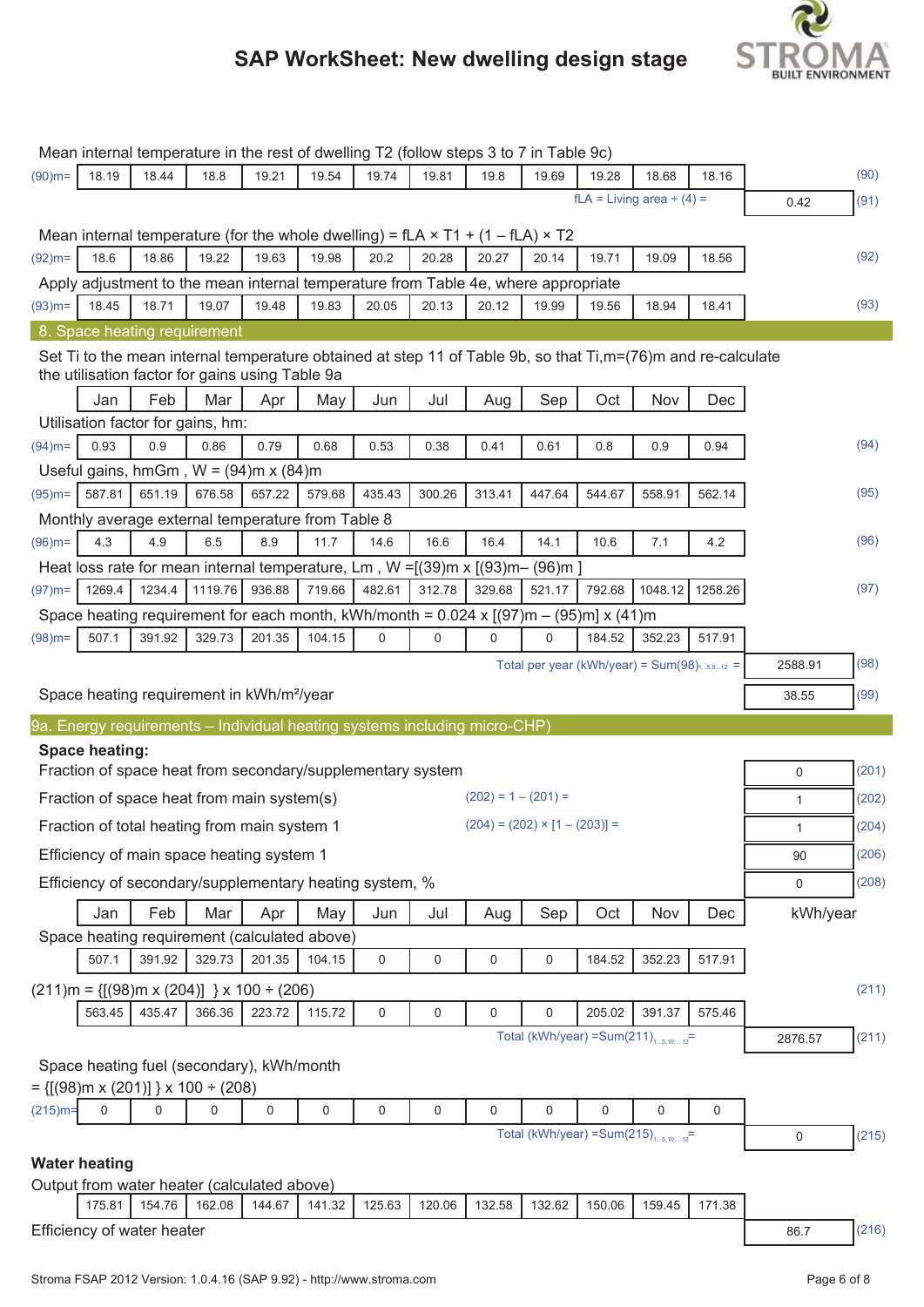

|            |                       |                                    |         |                                                                                              |        |             |        |                       | Mean internal temperature in the rest of dwelling T2 (follow steps 3 to 7 in Table 9c)                                    |        |                                |         |           |       |
|------------|-----------------------|------------------------------------|---------|----------------------------------------------------------------------------------------------|--------|-------------|--------|-----------------------|---------------------------------------------------------------------------------------------------------------------------|--------|--------------------------------|---------|-----------|-------|
| $(90)$ m=  | 18.19                 | 18.44                              | 18.8    | 19.21                                                                                        | 19.54  | 19.74       | 19.81  | 19.8                  | 19.69                                                                                                                     | 19.28  | 18.68                          | 18.16   |           | (90)  |
|            |                       |                                    |         |                                                                                              |        |             |        |                       |                                                                                                                           |        | $fLA = Living area \div (4) =$ |         | 0.42      | (91)  |
|            |                       |                                    |         |                                                                                              |        |             |        |                       |                                                                                                                           |        |                                |         |           |       |
|            |                       |                                    |         | Mean internal temperature (for the whole dwelling) = fLA $\times$ T1 + (1 – fLA) $\times$ T2 |        |             |        |                       |                                                                                                                           |        |                                |         |           |       |
| $(92)$ m=  | 18.6                  | 18.86                              | 19.22   | 19.63                                                                                        | 19.98  | 20.2        | 20.28  | 20.27                 | 20.14                                                                                                                     | 19.71  | 19.09                          | 18.56   |           | (92)  |
|            |                       |                                    |         |                                                                                              |        |             |        |                       | Apply adjustment to the mean internal temperature from Table 4e, where appropriate                                        |        |                                |         |           |       |
| $(93)$ m=  | 18.45                 | 18.71                              | 19.07   | 19.48                                                                                        | 19.83  | 20.05       | 20.13  | 20.12                 | 19.99                                                                                                                     | 19.56  | 18.94                          | 18.41   |           | (93)  |
|            |                       | 8. Space heating requirement       |         |                                                                                              |        |             |        |                       |                                                                                                                           |        |                                |         |           |       |
|            |                       |                                    |         | the utilisation factor for gains using Table 9a                                              |        |             |        |                       | Set Ti to the mean internal temperature obtained at step 11 of Table 9b, so that Ti,m=(76)m and re-calculate              |        |                                |         |           |       |
|            | Jan                   | Feb                                | Mar     | Apr                                                                                          | May    | Jun         | Jul    | Aug                   | Sep                                                                                                                       | Oct    | Nov                            | Dec     |           |       |
|            |                       | Utilisation factor for gains, hm:  |         |                                                                                              |        |             |        |                       |                                                                                                                           |        |                                |         |           |       |
| $(94)$ m=  | 0.93                  | 0.9                                | 0.86    | 0.79                                                                                         | 0.68   | 0.53        | 0.38   | 0.41                  | 0.61                                                                                                                      | 0.8    | 0.9                            | 0.94    |           | (94)  |
|            |                       |                                    |         | Useful gains, hmGm, $W = (94)$ m x (84)m                                                     |        |             |        |                       |                                                                                                                           |        |                                |         |           |       |
| $(95)$ m=  | 587.81                | 651.19                             | 676.58  | 657.22                                                                                       | 579.68 | 435.43      | 300.26 | 313.41                | 447.64                                                                                                                    | 544.67 | 558.91                         | 562.14  |           | (95)  |
|            |                       |                                    |         | Monthly average external temperature from Table 8                                            |        |             |        |                       |                                                                                                                           |        |                                |         |           |       |
| $(96)$ m=  | 4.3                   | 4.9                                | 6.5     | 8.9                                                                                          | 11.7   | 14.6        | 16.6   | 16.4                  | 14.1                                                                                                                      | 10.6   | 7.1                            | 4.2     |           | (96)  |
|            |                       |                                    |         |                                                                                              |        |             |        |                       | Heat loss rate for mean internal temperature, Lm, $W = [(39)m \times [(93)m - (96)m]$                                     |        |                                |         |           |       |
| $(97)$ m=  | 1269.4                | 1234.4                             | 1119.76 | 936.88                                                                                       | 719.66 | 482.61      | 312.78 | 329.68                | 521.17                                                                                                                    | 792.68 | 1048.12                        | 1258.26 |           | (97)  |
|            |                       |                                    |         |                                                                                              |        |             |        |                       | Space heating requirement for each month, kWh/month = $0.024 \times [(97) \text{m} - (95) \text{m}] \times (41) \text{m}$ |        |                                |         |           |       |
| $(98)$ m=  | 507.1                 | 391.92                             | 329.73  | 201.35                                                                                       | 104.15 | $\mathbf 0$ | 0      | 0                     | $\mathbf 0$                                                                                                               | 184.52 | 352.23                         | 517.91  |           |       |
|            |                       |                                    |         |                                                                                              |        |             |        |                       | Total per year (kWh/year) = $Sum(98)_{15,912}$ =                                                                          |        |                                |         | 2588.91   | (98)  |
|            |                       |                                    |         |                                                                                              |        |             |        |                       |                                                                                                                           |        |                                |         |           |       |
|            |                       |                                    |         | Space heating requirement in kWh/m <sup>2</sup> /year                                        |        |             |        |                       |                                                                                                                           |        |                                |         | 38.55     | (99)  |
|            |                       |                                    |         | 9a. Energy requirements – Individual heating systems including micro-CHP)                    |        |             |        |                       |                                                                                                                           |        |                                |         |           |       |
|            | <b>Space heating:</b> |                                    |         |                                                                                              |        |             |        |                       |                                                                                                                           |        |                                |         |           |       |
|            |                       |                                    |         | Fraction of space heat from secondary/supplementary system                                   |        |             |        |                       |                                                                                                                           |        |                                |         | 0         | (201) |
|            |                       |                                    |         | Fraction of space heat from main system(s)                                                   |        |             |        | $(202) = 1 - (201) =$ |                                                                                                                           |        |                                |         | 1         | (202) |
|            |                       |                                    |         | Fraction of total heating from main system 1                                                 |        |             |        |                       | $(204) = (202) \times [1 - (203)] =$                                                                                      |        |                                |         | 1         | (204) |
|            |                       |                                    |         | Efficiency of main space heating system 1                                                    |        |             |        |                       |                                                                                                                           |        |                                |         | 90        | (206) |
|            |                       |                                    |         | Efficiency of secondary/supplementary heating system, %                                      |        |             |        |                       |                                                                                                                           |        |                                |         | 0         | (208) |
|            | Jan                   | Feb                                | Mar     | Apr                                                                                          | May    | Jun         | Jul    | Aug                   | Sep                                                                                                                       | Oct    | Nov                            | Dec     | kWh/year  |       |
|            |                       |                                    |         | Space heating requirement (calculated above)                                                 |        |             |        |                       |                                                                                                                           |        |                                |         |           |       |
|            | 507.1                 | 391.92                             | 329.73  | 201.35                                                                                       | 104.15 | 0           | 0      | 0                     | 0                                                                                                                         | 184.52 | 352.23                         | 517.91  |           |       |
|            |                       |                                    |         |                                                                                              |        |             |        |                       |                                                                                                                           |        |                                |         |           |       |
|            |                       |                                    |         | $(211)$ m = {[(98)m x (204)] } x 100 ÷ (206)                                                 |        |             |        |                       |                                                                                                                           |        |                                |         |           | (211) |
|            | 563.45                | 435.47                             | 366.36  | 223.72                                                                                       | 115.72 | 0           | 0      | 0                     | $\mathbf 0$<br>Total (kWh/year) = Sum(211) $_{15,1012}$ =                                                                 | 205.02 | 391.37                         | 575.46  |           |       |
|            |                       |                                    |         |                                                                                              |        |             |        |                       |                                                                                                                           |        |                                |         | 2876.57   | (211) |
|            |                       |                                    |         | Space heating fuel (secondary), kWh/month                                                    |        |             |        |                       |                                                                                                                           |        |                                |         |           |       |
|            |                       | = {[(98)m x (201)] } x 100 ÷ (208) |         |                                                                                              |        |             |        |                       |                                                                                                                           |        |                                |         |           |       |
| $(215)$ m= | 0                     | 0                                  | 0       | 0                                                                                            | 0      | 0           | 0      | $\mathbf 0$           | $\mathbf 0$                                                                                                               | 0      | $\mathbf 0$                    | 0       |           |       |
|            |                       |                                    |         |                                                                                              |        |             |        |                       | Total (kWh/year) = Sum(215) $_{15,1012}$ =                                                                                |        |                                |         | $\pmb{0}$ | (215) |
|            | <b>Water heating</b>  |                                    |         |                                                                                              |        |             |        |                       |                                                                                                                           |        |                                |         |           |       |
|            |                       |                                    |         | Output from water heater (calculated above)                                                  |        |             |        |                       |                                                                                                                           |        |                                |         |           |       |
|            | 175.81                | 154.76                             | 162.08  | 144.67                                                                                       | 141.32 | 125.63      | 120.06 | 132.58                | 132.62                                                                                                                    | 150.06 | 159.45                         | 171.38  |           |       |
|            |                       | Efficiency of water heater         |         |                                                                                              |        |             |        |                       |                                                                                                                           |        |                                |         | 86.7      | (216) |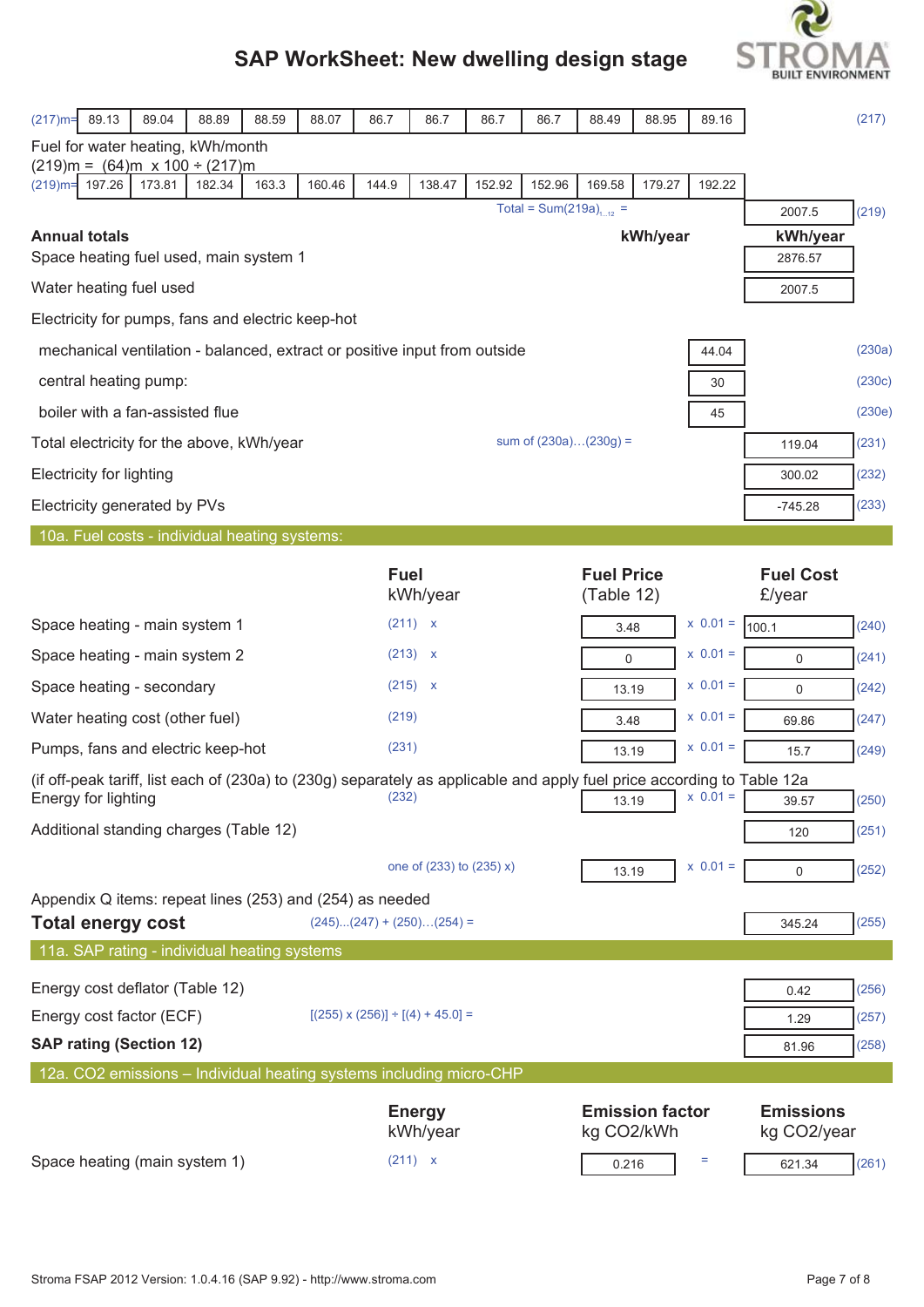

|                                                                                                                                                | 88.89           | 88.07  |             |                                            |        |                                      |                         |                        |              |                                 | (217)  |
|------------------------------------------------------------------------------------------------------------------------------------------------|-----------------|--------|-------------|--------------------------------------------|--------|--------------------------------------|-------------------------|------------------------|--------------|---------------------------------|--------|
| $(217)$ m=<br>89.13<br>89.04<br>Fuel for water heating, kWh/month                                                                              | 88.59           |        | 86.7        | 86.7                                       | 86.7   | 86.7                                 | 88.49                   | 88.95                  | 89.16        |                                 |        |
| $(219)m = (64)m \times 100 \div (217)m$                                                                                                        |                 |        |             |                                            |        |                                      |                         |                        |              |                                 |        |
| $(219)$ m=<br>197.26<br>173.81                                                                                                                 | 182.34<br>163.3 | 160.46 | 144.9       | 138.47                                     | 152.92 | 152.96                               | 169.58                  | 179.27                 | 192.22       |                                 |        |
|                                                                                                                                                |                 |        |             |                                            |        | Total = Sum(219a) <sub>1, 12</sub> = |                         |                        |              | 2007.5                          | (219)  |
| <b>Annual totals</b><br>Space heating fuel used, main system 1                                                                                 |                 |        |             |                                            |        |                                      |                         | kWh/year               |              | kWh/year<br>2876.57             |        |
| Water heating fuel used                                                                                                                        |                 |        |             |                                            |        |                                      |                         |                        |              | 2007.5                          |        |
| Electricity for pumps, fans and electric keep-hot                                                                                              |                 |        |             |                                            |        |                                      |                         |                        |              |                                 |        |
| mechanical ventilation - balanced, extract or positive input from outside                                                                      |                 |        |             |                                            |        |                                      |                         |                        | 44.04        |                                 | (230a) |
| central heating pump:                                                                                                                          |                 |        |             |                                            |        |                                      |                         |                        | 30           |                                 | (230c) |
| boiler with a fan-assisted flue                                                                                                                |                 |        |             |                                            |        |                                      |                         |                        | 45           |                                 | (230e) |
| Total electricity for the above, kWh/year                                                                                                      |                 |        |             |                                            |        |                                      | sum of $(230a)(230g) =$ |                        |              | 119.04                          | (231)  |
| <b>Electricity for lighting</b>                                                                                                                |                 |        |             |                                            |        |                                      |                         |                        |              | 300.02                          | (232)  |
| Electricity generated by PVs                                                                                                                   |                 |        |             |                                            |        |                                      |                         |                        |              | $-745.28$                       | (233)  |
| 10a. Fuel costs - individual heating systems:                                                                                                  |                 |        |             |                                            |        |                                      |                         |                        |              |                                 |        |
|                                                                                                                                                |                 |        | <b>Fuel</b> |                                            |        |                                      | <b>Fuel Price</b>       |                        |              | <b>Fuel Cost</b>                |        |
|                                                                                                                                                |                 |        |             | kWh/year                                   |        |                                      | (Table 12)              |                        |              | £/year                          |        |
| Space heating - main system 1                                                                                                                  |                 |        |             | (211) x                                    |        |                                      | 3.48                    |                        | $x 0.01 =$   | 100.1                           | (240)  |
| Space heating - main system 2                                                                                                                  |                 |        |             | (213) x                                    |        |                                      | 0                       |                        | $x \ 0.01 =$ | $\mathbf 0$                     | (241)  |
| Space heating - secondary                                                                                                                      |                 |        |             | (215) x                                    |        |                                      | 13.19                   |                        | $x \ 0.01 =$ | $\mathbf 0$                     | (242)  |
| Water heating cost (other fuel)                                                                                                                |                 |        | (219)       |                                            |        |                                      | 3.48                    |                        | $x 0.01 =$   | 69.86                           | (247)  |
| Pumps, fans and electric keep-hot                                                                                                              |                 |        | (231)       |                                            |        |                                      | 13.19                   |                        | $x 0.01 =$   | 15.7                            | (249)  |
| (if off-peak tariff, list each of (230a) to (230g) separately as applicable and apply fuel price according to Table 12a<br>Energy for lighting |                 |        | (232)       |                                            |        |                                      | 13.19                   |                        | $X$ $0.01 =$ | 39.57                           | (250)  |
| Additional standing charges (Table 12)                                                                                                         |                 |        |             |                                            |        |                                      |                         |                        |              | 120                             | (251)  |
|                                                                                                                                                |                 |        |             | one of (233) to (235) x)                   |        |                                      | 13.19                   |                        | $x 0.01 =$   | $\mathbf 0$                     | (252)  |
| Appendix Q items: repeat lines (253) and (254) as needed                                                                                       |                 |        |             |                                            |        |                                      |                         |                        |              |                                 |        |
| <b>Total energy cost</b>                                                                                                                       |                 |        |             | $(245)(247) + (250)(254) =$                |        |                                      |                         |                        |              | 345.24                          | (255)  |
| 11a. SAP rating - individual heating systems                                                                                                   |                 |        |             |                                            |        |                                      |                         |                        |              |                                 |        |
| Energy cost deflator (Table 12)                                                                                                                |                 |        |             |                                            |        |                                      |                         |                        |              | 0.42                            | (256)  |
| Energy cost factor (ECF)                                                                                                                       |                 |        |             | $[(255) \times (256)] \div [(4) + 45.0] =$ |        |                                      |                         |                        |              | 1.29                            | (257)  |
| <b>SAP rating (Section 12)</b>                                                                                                                 |                 |        |             |                                            |        |                                      |                         |                        |              | 81.96                           | (258)  |
| 12a. CO2 emissions - Individual heating systems including micro-CHP                                                                            |                 |        |             |                                            |        |                                      |                         |                        |              |                                 |        |
|                                                                                                                                                |                 |        |             | <b>Energy</b><br>kWh/year                  |        |                                      | kg CO2/kWh              | <b>Emission factor</b> |              | <b>Emissions</b><br>kg CO2/year |        |
| Space heating (main system 1)                                                                                                                  |                 |        |             | (211) x                                    |        |                                      | 0.216                   |                        | Ξ            | 621.34                          | (261)  |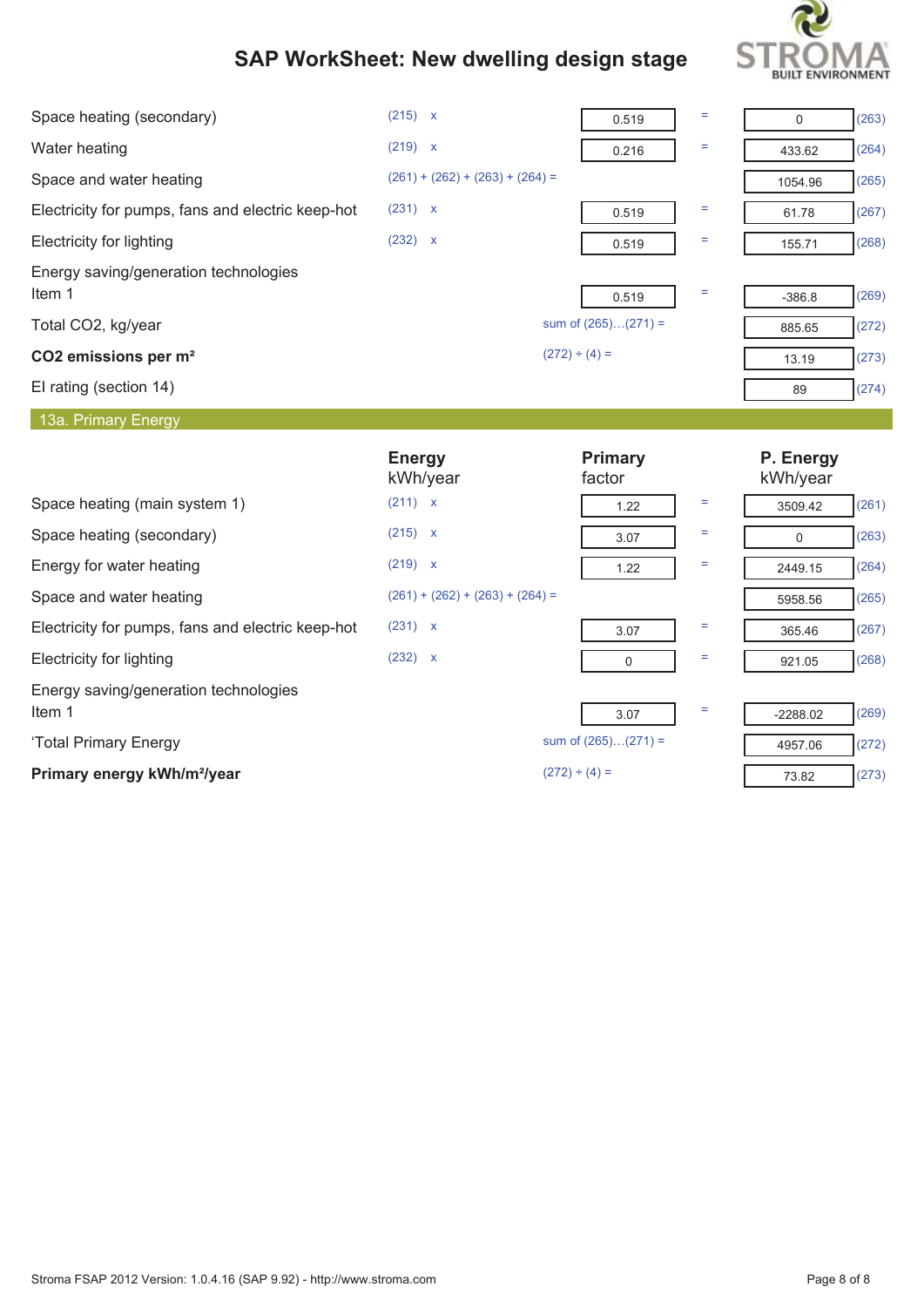

| Space heating (secondary)                         | (215) x                           | 0.519                    | $=$      | 0                     | (263) |
|---------------------------------------------------|-----------------------------------|--------------------------|----------|-----------------------|-------|
| Water heating                                     | (219) x                           | 0.216                    | Ξ        | 433.62                | (264) |
| Space and water heating                           | $(261) + (262) + (263) + (264) =$ |                          |          | 1054.96               | (265) |
| Electricity for pumps, fans and electric keep-hot | (231) x                           | 0.519                    | Ξ        | 61.78                 | (267) |
| <b>Electricity for lighting</b>                   | (232) x                           | 0.519                    | Ξ        | 155.71                | (268) |
| Energy saving/generation technologies<br>Item 1   |                                   | 0.519                    | $\equiv$ | $-386.8$              | (269) |
| Total CO2, kg/year                                |                                   | sum of $(265)(271) =$    |          | 885.65                | (272) |
| CO2 emissions per m <sup>2</sup>                  |                                   | $(272) \div (4) =$       |          | 13.19                 | (273) |
| El rating (section 14)                            |                                   |                          |          | 89                    | (274) |
| 13a. Primary Energy                               |                                   |                          |          |                       |       |
|                                                   |                                   |                          |          |                       |       |
|                                                   | <b>Energy</b><br>kWh/year         | <b>Primary</b><br>factor |          | P. Energy<br>kWh/year |       |
| Space heating (main system 1)                     | (211) x                           | 1.22                     | Ξ        | 3509.42               | (261) |
| Space heating (secondary)                         | $(215)$ x                         | 3.07                     | Ξ        | $\Omega$              | (263) |
| Energy for water heating                          | (219) x                           | 1.22                     | Ξ        | 2449.15               | (264) |
| Space and water heating                           | $(261) + (262) + (263) + (264) =$ |                          |          | 5958.56               | (265) |
| Electricity for pumps, fans and electric keep-hot | (231) x                           | 3.07                     | Ξ        | 365.46                | (267) |
| Electricity for lighting                          | (232) x                           | $\Omega$                 | Ξ        | 921.05                | (268) |
| Energy saving/generation technologies<br>Item 1   |                                   | 3.07                     | Ξ        | $-2288.02$            | (269) |
| 'Total Primary Energy                             |                                   | sum of $(265)(271) =$    |          | 4957.06               | (272) |